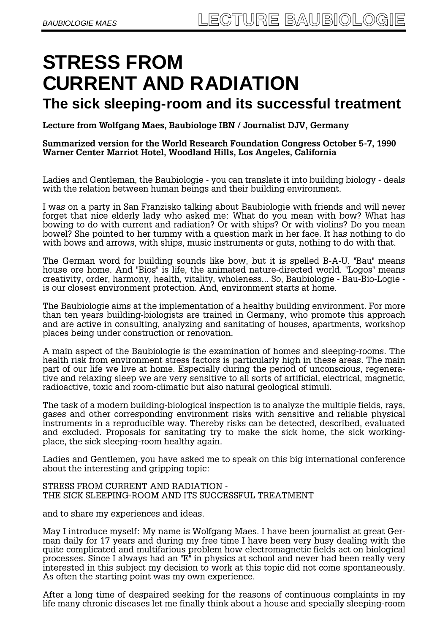# **STRESS FROM CURRENT AND RADIATION**

# **The sick sleeping-room and its successful treatment**

**Lecture from Wolfgang Maes, Baubiologe IBN / Journalist DJV, Germany** 

**Summarized version for the World Research Foundation Congress October 5-7, 1990 Warner Center Marriot Hotel, Woodland Hills, Los Angeles, California** 

Ladies and Gentleman, the Baubiologie - you can translate it into building biology - deals with the relation between human beings and their building environment.

I was on a party in San Franzisko talking about Baubiologie with friends and will never forget that nice elderly lady who asked me: What do you mean with bow? What has bowing to do with current and radiation? Or with ships? Or with violins? Do you mean bowel? She pointed to her tummy with a question mark in her face. It has nothing to do with bows and arrows, with ships, music instruments or guts, nothing to do with that.

The German word for building sounds like bow, but it is spelled B-A-U. "Bau" means house ore home. And "Bios" is life, the animated nature-directed world. "Logos" means creativity, order, harmony, health, vitality, wholeness... So, Baubiologie - Bau-Bio-Logie is our closest environment protection. And, environment starts at home.

The Baubiologie aims at the implementation of a healthy building environment. For more than ten years building-biologists are trained in Germany, who promote this approach and are active in consulting, analyzing and sanitating of houses, apartments, workshop places being under construction or renovation.

A main aspect of the Baubiologie is the examination of homes and sleeping-rooms. The health risk from environment stress factors is particularly high in these areas. The main part of our life we live at home. Especially during the period of unconscious, regenerative and relaxing sleep we are very sensitive to all sorts of artificial, electrical, magnetic, radioactive, toxic and room-climatic but also natural geological stimuli.

The task of a modern building-biological inspection is to analyze the multiple fields, rays, gases and other corresponding environment risks with sensitive and reliable physical instruments in a reproducible way. Thereby risks can be detected, described, evaluated and excluded. Proposals for sanitating try to make the sick home, the sick workingplace, the sick sleeping-room healthy again.

Ladies and Gentlemen, you have asked me to speak on this big international conference about the interesting and gripping topic:

#### STRESS FROM CURRENT AND RADIATION - THE SICK SLEEPING-ROOM AND ITS SUCCESSFUL TREATMENT

and to share my experiences and ideas.

May I introduce myself: My name is Wolfgang Maes. I have been journalist at great German daily for 17 years and during my free time I have been very busy dealing with the quite complicated and multifarious problem how electromagnetic fields act on biological processes. Since I always had an "E" in physics at school and never had been really very interested in this subject my decision to work at this topic did not come spontaneously. As often the starting point was my own experience.

After a long time of despaired seeking for the reasons of continuous complaints in my life many chronic diseases let me finally think about a house and specially sleeping-room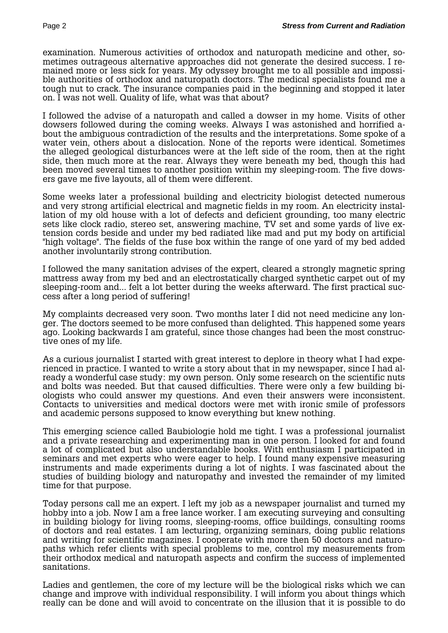examination. Numerous activities of orthodox and naturopath medicine and other, sometimes outrageous alternative approaches did not generate the desired success. I remained more or less sick for years. My odyssey brought me to all possible and impossible authorities of orthodox and naturopath doctors. The medical specialists found me a tough nut to crack. The insurance companies paid in the beginning and stopped it later on. I was not well. Quality of life, what was that about?

I followed the advise of a naturopath and called a dowser in my home. Visits of other dowsers followed during the coming weeks. Always I was astonished and horrified about the ambiguous contradiction of the results and the interpretations. Some spoke of a water vein, others about a dislocation. None of the reports were identical. Sometimes the alleged geological disturbances were at the left side of the room, then at the right side, then much more at the rear. Always they were beneath my bed, though this had been moved several times to another position within my sleeping-room. The five dowsers gave me five layouts, all of them were different.

Some weeks later a professional building and electricity biologist detected numerous and very strong artificial electrical and magnetic fields in my room. An electricity installation of my old house with a lot of defects and deficient grounding, too many electric sets like clock radio, stereo set, answering machine, TV set and some yards of live extension cords beside and under my bed radiated like mad and put my body on artificial "high voltage". The fields of the fuse box within the range of one yard of my bed added another involuntarily strong contribution.

I followed the many sanitation advises of the expert, cleared a strongly magnetic spring mattress away from my bed and an electrostatically charged synthetic carpet out of my sleeping-room and... felt a lot better during the weeks afterward. The first practical success after a long period of suffering!

My complaints decreased very soon. Two months later I did not need medicine any longer. The doctors seemed to be more confused than delighted. This happened some years ago. Looking backwards I am grateful, since those changes had been the most constructive ones of my life.

As a curious journalist I started with great interest to deplore in theory what I had experienced in practice. I wanted to write a story about that in my newspaper, since I had already a wonderful case study: my own person. Only some research on the scientific nuts and bolts was needed. But that caused difficulties. There were only a few building biologists who could answer my questions. And even their answers were inconsistent. Contacts to universities and medical doctors were met with ironic smile of professors and academic persons supposed to know everything but knew nothing.

This emerging science called Baubiologie hold me tight. I was a professional journalist and a private researching and experimenting man in one person. I looked for and found a lot of complicated but also understandable books. With enthusiasm I participated in seminars and met experts who were eager to help. I found many expensive measuring instruments and made experiments during a lot of nights. I was fascinated about the studies of building biology and naturopathy and invested the remainder of my limited time for that purpose.

Today persons call me an expert. I left my job as a newspaper journalist and turned my hobby into a job. Now I am a free lance worker. I am executing surveying and consulting in building biology for living rooms, sleeping-rooms, office buildings, consulting rooms of doctors and real estates. I am lecturing, organizing seminars, doing public relations and writing for scientific magazines. I cooperate with more then 50 doctors and naturopaths which refer clients with special problems to me, control my measurements from their orthodox medical and naturopath aspects and confirm the success of implemented sanitations.

Ladies and gentlemen, the core of my lecture will be the biological risks which we can change and improve with individual responsibility. I will inform you about things which really can be done and will avoid to concentrate on the illusion that it is possible to do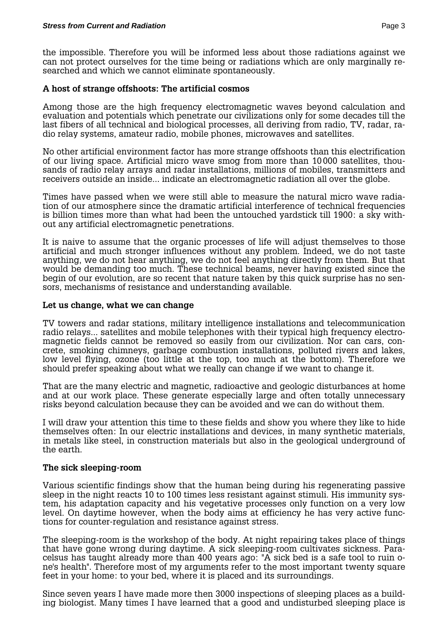the impossible. Therefore you will be informed less about those radiations against we can not protect ourselves for the time being or radiations which are only marginally researched and which we cannot eliminate spontaneously.

# **A host of strange offshoots: The artificial cosmos**

Among those are the high frequency electromagnetic waves beyond calculation and evaluation and potentials which penetrate our civilizations only for some decades till the last fibers of all technical and biological processes, all deriving from radio, TV, radar, radio relay systems, amateur radio, mobile phones, microwaves and satellites.

No other artificial environment factor has more strange offshoots than this electrification of our living space. Artificial micro wave smog from more than 10000 satellites, thousands of radio relay arrays and radar installations, millions of mobiles, transmitters and receivers outside an inside... indicate an electromagnetic radiation all over the globe.

Times have passed when we were still able to measure the natural micro wave radiation of our atmosphere since the dramatic artificial interference of technical frequencies is billion times more than what had been the untouched yardstick till 1900: a sky without any artificial electromagnetic penetrations.

It is naive to assume that the organic processes of life will adjust themselves to those artificial and much stronger influences without any problem. Indeed, we do not taste anything, we do not hear anything, we do not feel anything directly from them. But that would be demanding too much. These technical beams, never having existed since the begin of our evolution, are so recent that nature taken by this quick surprise has no sensors, mechanisms of resistance and understanding available.

# **Let us change, what we can change**

TV towers and radar stations, military intelligence installations and telecommunication radio relays... satellites and mobile telephones with their typical high frequency electromagnetic fields cannot be removed so easily from our civilization. Nor can cars, concrete, smoking chimneys, garbage combustion installations, polluted rivers and lakes, low level flying, ozone (too little at the top, too much at the bottom). Therefore we should prefer speaking about what we really can change if we want to change it.

That are the many electric and magnetic, radioactive and geologic disturbances at home and at our work place. These generate especially large and often totally unnecessary risks beyond calculation because they can be avoided and we can do without them.

I will draw your attention this time to these fields and show you where they like to hide themselves often: In our electric installations and devices, in many synthetic materials, in metals like steel, in construction materials but also in the geological underground of the earth.

# **The sick sleeping-room**

Various scientific findings show that the human being during his regenerating passive sleep in the night reacts 10 to 100 times less resistant against stimuli. His immunity system, his adaptation capacity and his vegetative processes only function on a very low level. On daytime however, when the body aims at efficiency he has very active functions for counter-regulation and resistance against stress.

The sleeping-room is the workshop of the body. At night repairing takes place of things that have gone wrong during daytime. A sick sleeping-room cultivates sickness. Paracelsus has taught already more than 400 years ago: "A sick bed is a safe tool to ruin one's health". Therefore most of my arguments refer to the most important twenty square feet in your home: to your bed, where it is placed and its surroundings.

Since seven years I have made more then 3000 inspections of sleeping places as a building biologist. Many times I have learned that a good and undisturbed sleeping place is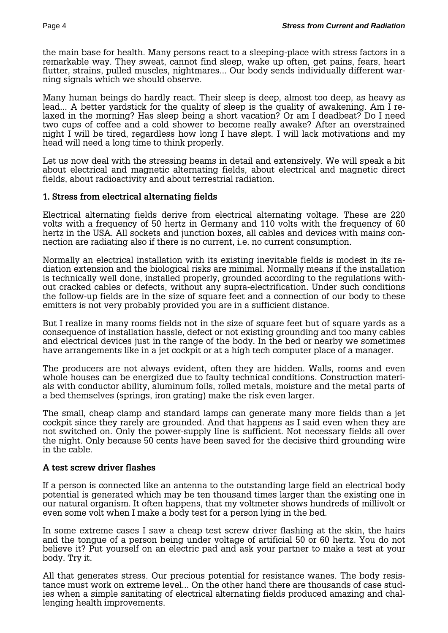the main base for health. Many persons react to a sleeping-place with stress factors in a remarkable way. They sweat, cannot find sleep, wake up often, get pains, fears, heart flutter, strains, pulled muscles, nightmares... Our body sends individually different warning signals which we should observe.

Many human beings do hardly react. Their sleep is deep, almost too deep, as heavy as lead... A better yardstick for the quality of sleep is the quality of awakening. Am I relaxed in the morning? Has sleep being a short vacation? Or am I deadbeat? Do I need two cups of coffee and a cold shower to become really awake? After an overstrained night I will be tired, regardless how long I have slept. I will lack motivations and my head will need a long time to think properly.

Let us now deal with the stressing beams in detail and extensively. We will speak a bit about electrical and magnetic alternating fields, about electrical and magnetic direct fields, about radioactivity and about terrestrial radiation.

# **1. Stress from electrical alternating fields**

Electrical alternating fields derive from electrical alternating voltage. These are 220 volts with a frequency of 50 hertz in Germany and 110 volts with the frequency of 60 hertz in the USA. All sockets and junction boxes, all cables and devices with mains connection are radiating also if there is no current, i.e. no current consumption.

Normally an electrical installation with its existing inevitable fields is modest in its radiation extension and the biological risks are minimal. Normally means if the installation is technically well done, installed properly, grounded according to the regulations without cracked cables or defects, without any supra-electrification. Under such conditions the follow-up fields are in the size of square feet and a connection of our body to these emitters is not very probably provided you are in a sufficient distance.

But I realize in many rooms fields not in the size of square feet but of square yards as a consequence of installation hassle, defect or not existing grounding and too many cables and electrical devices just in the range of the body. In the bed or nearby we sometimes have arrangements like in a jet cockpit or at a high tech computer place of a manager.

The producers are not always evident, often they are hidden. Walls, rooms and even whole houses can be energized due to faulty technical conditions. Construction materials with conductor ability, aluminum foils, rolled metals, moisture and the metal parts of a bed themselves (springs, iron grating) make the risk even larger.

The small, cheap clamp and standard lamps can generate many more fields than a jet cockpit since they rarely are grounded. And that happens as I said even when they are not switched on. Only the power-supply line is sufficient. Not necessary fields all over the night. Only because 50 cents have been saved for the decisive third grounding wire in the cable.

#### **A test screw driver flashes**

If a person is connected like an antenna to the outstanding large field an electrical body potential is generated which may be ten thousand times larger than the existing one in our natural organism. It often happens, that my voltmeter shows hundreds of millivolt or even some volt when I make a body test for a person lying in the bed.

In some extreme cases I saw a cheap test screw driver flashing at the skin, the hairs and the tongue of a person being under voltage of artificial 50 or 60 hertz. You do not believe it? Put yourself on an electric pad and ask your partner to make a test at your body. Try it.

All that generates stress. Our precious potential for resistance wanes. The body resistance must work on extreme level... On the other hand there are thousands of case studies when a simple sanitating of electrical alternating fields produced amazing and challenging health improvements.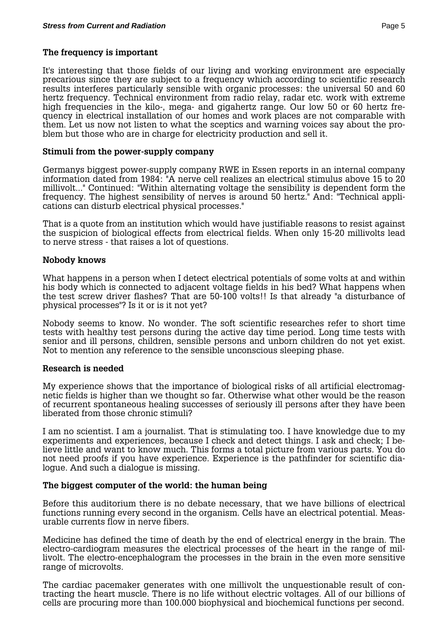#### **The frequency is important**

It's interesting that those fields of our living and working environment are especially precarious since they are subject to a frequency which according to scientific research results interferes particularly sensible with organic processes: the universal 50 and 60 hertz frequency. Technical environment from radio relay, radar etc. work with extreme high frequencies in the kilo-, mega- and gigahertz range. Our low 50 or 60 hertz frequency in electrical installation of our homes and work places are not comparable with them. Let us now not listen to what the sceptics and warning voices say about the problem but those who are in charge for electricity production and sell it.

#### **Stimuli from the power-supply company**

Germanys biggest power-supply company RWE in Essen reports in an internal company information dated from 1984: "A nerve cell realizes an electrical stimulus above 15 to 20 millivolt..." Continued: "Within alternating voltage the sensibility is dependent form the frequency. The highest sensibility of nerves is around 50 hertz." And: "Technical applications can disturb electrical physical processes."

That is a quote from an institution which would have justifiable reasons to resist against the suspicion of biological effects from electrical fields. When only 15-20 millivolts lead to nerve stress - that raises a lot of questions.

#### **Nobody knows**

What happens in a person when I detect electrical potentials of some volts at and within his body which is connected to adjacent voltage fields in his bed? What happens when the test screw driver flashes? That are 50-100 volts!! Is that already "a disturbance of physical processes"? Is it or is it not yet?

Nobody seems to know. No wonder. The soft scientific researches refer to short time tests with healthy test persons during the active day time period. Long time tests with senior and ill persons, children, sensible persons and unborn children do not yet exist. Not to mention any reference to the sensible unconscious sleeping phase.

#### **Research is needed**

My experience shows that the importance of biological risks of all artificial electromagnetic fields is higher than we thought so far. Otherwise what other would be the reason of recurrent spontaneous healing successes of seriously ill persons after they have been liberated from those chronic stimuli?

I am no scientist. I am a journalist. That is stimulating too. I have knowledge due to my experiments and experiences, because I check and detect things. I ask and check; I believe little and want to know much. This forms a total picture from various parts. You do not need proofs if you have experience. Experience is the pathfinder for scientific dialogue. And such a dialogue is missing.

#### **The biggest computer of the world: the human being**

Before this auditorium there is no debate necessary, that we have billions of electrical functions running every second in the organism. Cells have an electrical potential. Measurable currents flow in nerve fibers.

Medicine has defined the time of death by the end of electrical energy in the brain. The electro-cardiogram measures the electrical processes of the heart in the range of millivolt. The electro-encephalogram the processes in the brain in the even more sensitive range of microvolts.

The cardiac pacemaker generates with one millivolt the unquestionable result of contracting the heart muscle. There is no life without electric voltages. All of our billions of cells are procuring more than 100.000 biophysical and biochemical functions per second.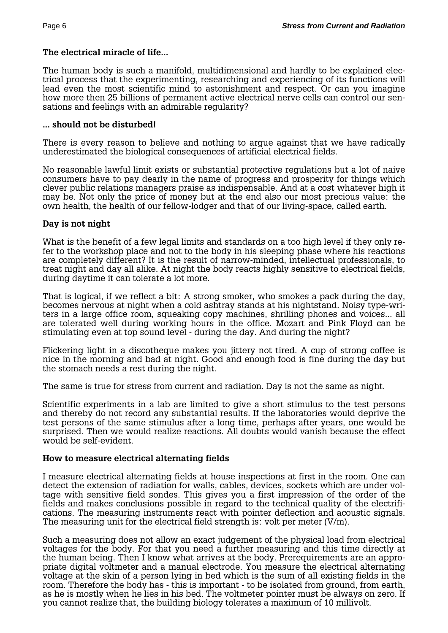# **The electrical miracle of life...**

The human body is such a manifold, multidimensional and hardly to be explained electrical process that the experimenting, researching and experiencing of its functions will lead even the most scientific mind to astonishment and respect. Or can you imagine how more then 25 billions of permanent active electrical nerve cells can control our sensations and feelings with an admirable regularity?

#### **... should not be disturbed!**

There is every reason to believe and nothing to argue against that we have radically underestimated the biological consequences of artificial electrical fields.

No reasonable lawful limit exists or substantial protective regulations but a lot of naive consumers have to pay dearly in the name of progress and prosperity for things which clever public relations managers praise as indispensable. And at a cost whatever high it may be. Not only the price of money but at the end also our most precious value: the own health, the health of our fellow-lodger and that of our living-space, called earth.

#### **Day is not night**

What is the benefit of a few legal limits and standards on a too high level if they only refer to the workshop place and not to the body in his sleeping phase where his reactions are completely different? It is the result of narrow-minded, intellectual professionals, to treat night and day all alike. At night the body reacts highly sensitive to electrical fields, during daytime it can tolerate a lot more.

That is logical, if we reflect a bit: A strong smoker, who smokes a pack during the day, becomes nervous at night when a cold ashtray stands at his nightstand. Noisy type-writers in a large office room, squeaking copy machines, shrilling phones and voices... all are tolerated well during working hours in the office. Mozart and Pink Floyd can be stimulating even at top sound level - during the day. And during the night?

Flickering light in a discotheque makes you jittery not tired. A cup of strong coffee is nice in the morning and bad at night. Good and enough food is fine during the day but the stomach needs a rest during the night.

The same is true for stress from current and radiation. Day is not the same as night.

Scientific experiments in a lab are limited to give a short stimulus to the test persons and thereby do not record any substantial results. If the laboratories would deprive the test persons of the same stimulus after a long time, perhaps after years, one would be surprised. Then we would realize reactions. All doubts would vanish because the effect would be self-evident.

#### **How to measure electrical alternating fields**

I measure electrical alternating fields at house inspections at first in the room. One can detect the extension of radiation for walls, cables, devices, sockets which are under voltage with sensitive field sondes. This gives you a first impression of the order of the fields and makes conclusions possible in regard to the technical quality of the electrifications. The measuring instruments react with pointer deflection and acoustic signals. The measuring unit for the electrical field strength is: volt per meter (V/m).

Such a measuring does not allow an exact judgement of the physical load from electrical voltages for the body. For that you need a further measuring and this time directly at the human being. Then I know what arrives at the body. Prerequirements are an appropriate digital voltmeter and a manual electrode. You measure the electrical alternating voltage at the skin of a person lying in bed which is the sum of all existing fields in the room. Therefore the body has - this is important - to be isolated from ground, from earth, as he is mostly when he lies in his bed. The voltmeter pointer must be always on zero. If you cannot realize that, the building biology tolerates a maximum of 10 millivolt.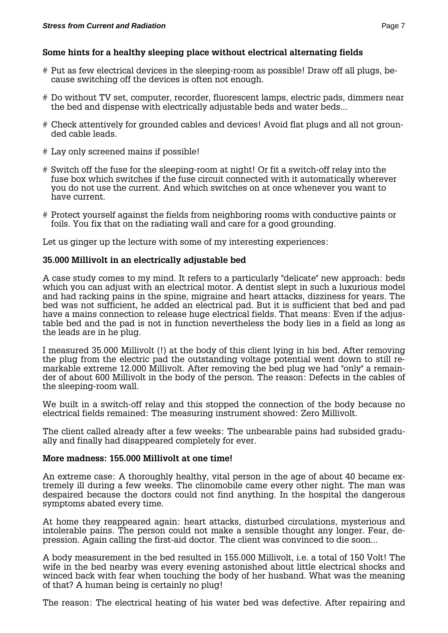# **Some hints for a healthy sleeping place without electrical alternating fields**

- # Put as few electrical devices in the sleeping-room as possible! Draw off all plugs, because switching off the devices is often not enough.
- # Do without TV set, computer, recorder, fluorescent lamps, electric pads, dimmers near the bed and dispense with electrically adjustable beds and water beds...
- # Check attentively for grounded cables and devices! Avoid flat plugs and all not grounded cable leads.
- # Lay only screened mains if possible!
- # Switch off the fuse for the sleeping-room at night! Or fit a switch-off relay into the fuse box which switches if the fuse circuit connected with it automatically wherever you do not use the current. And which switches on at once whenever you want to have current.
- # Protect yourself against the fields from neighboring rooms with conductive paints or foils. You fix that on the radiating wall and care for a good grounding.

Let us ginger up the lecture with some of my interesting experiences:

# **35.000 Millivolt in an electrically adjustable bed**

A case study comes to my mind. It refers to a particularly "delicate" new approach: beds which you can adjust with an electrical motor. A dentist slept in such a luxurious model and had racking pains in the spine, migraine and heart attacks, dizziness for years. The bed was not sufficient, he added an electrical pad. But it is sufficient that bed and pad have a mains connection to release huge electrical fields. That means: Even if the adjustable bed and the pad is not in function nevertheless the body lies in a field as long as the leads are in he plug.

I measured 35.000 Millivolt (!) at the body of this client lying in his bed. After removing the plug from the electric pad the outstanding voltage potential went down to still remarkable extreme 12.000 Millivolt. After removing the bed plug we had "only" a remainder of about 600 Millivolt in the body of the person. The reason: Defects in the cables of the sleeping-room wall.

We built in a switch-off relay and this stopped the connection of the body because no electrical fields remained: The measuring instrument showed: Zero Millivolt.

The client called already after a few weeks: The unbearable pains had subsided gradually and finally had disappeared completely for ever.

#### **More madness: 155.000 Millivolt at one time!**

An extreme case: A thoroughly healthy, vital person in the age of about 40 became extremely ill during a few weeks. The clinomobile came every other night. The man was despaired because the doctors could not find anything. In the hospital the dangerous symptoms abated every time.

At home they reappeared again: heart attacks, disturbed circulations, mysterious and intolerable pains. The person could not make a sensible thought any longer. Fear, depression. Again calling the first-aid doctor. The client was convinced to die soon...

A body measurement in the bed resulted in 155.000 Millivolt, i.e. a total of 150 Volt! The wife in the bed nearby was every evening astonished about little electrical shocks and winced back with fear when touching the body of her husband. What was the meaning of that? A human being is certainly no plug!

The reason: The electrical heating of his water bed was defective. After repairing and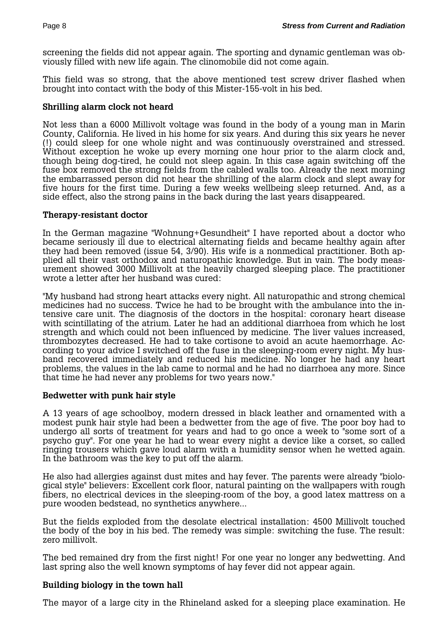screening the fields did not appear again. The sporting and dynamic gentleman was obviously filled with new life again. The clinomobile did not come again.

This field was so strong, that the above mentioned test screw driver flashed when brought into contact with the body of this Mister-155-volt in his bed.

# **Shrilling alarm clock not heard**

Not less than a 6000 Millivolt voltage was found in the body of a young man in Marin County, California. He lived in his home for six years. And during this six years he never (!) could sleep for one whole night and was continuously overstrained and stressed. Without exception he woke up every morning one hour prior to the alarm clock and, though being dog-tired, he could not sleep again. In this case again switching off the fuse box removed the strong fields from the cabled walls too. Already the next morning the embarrassed person did not hear the shrilling of the alarm clock and slept away for five hours for the first time. During a few weeks wellbeing sleep returned. And, as a side effect, also the strong pains in the back during the last years disappeared.

# **Therapy-resistant doctor**

In the German magazine "Wohnung+Gesundheit" I have reported about a doctor who became seriously ill due to electrical alternating fields and became healthy again after they had been removed (issue 54, 3/90). His wife is a nonmedical practitioner. Both applied all their vast orthodox and naturopathic knowledge. But in vain. The body measurement showed 3000 Millivolt at the heavily charged sleeping place. The practitioner wrote a letter after her husband was cured:

"My husband had strong heart attacks every night. All naturopathic and strong chemical medicines had no success. Twice he had to be brought with the ambulance into the intensive care unit. The diagnosis of the doctors in the hospital: coronary heart disease with scintillating of the atrium. Later he had an additional diarrhoea from which he lost strength and which could not been influenced by medicine. The liver values increased, thrombozytes decreased. He had to take cortisone to avoid an acute haemorrhage. According to your advice I switched off the fuse in the sleeping-room every night. My husband recovered immediately and reduced his medicine. No longer he had any heart problems, the values in the lab came to normal and he had no diarrhoea any more. Since that time he had never any problems for two years now."

# **Bedwetter with punk hair style**

A 13 years of age schoolboy, modern dressed in black leather and ornamented with a modest punk hair style had been a bedwetter from the age of five. The poor boy had to undergo all sorts of treatment for years and had to go once a week to "some sort of a psycho guy". For one year he had to wear every night a device like a corset, so called ringing trousers which gave loud alarm with a humidity sensor when he wetted again. In the bathroom was the key to put off the alarm.

He also had allergies against dust mites and hay fever. The parents were already "biological style" believers: Excellent cork floor, natural painting on the wallpapers with rough fibers, no electrical devices in the sleeping-room of the boy, a good latex mattress on a pure wooden bedstead, no synthetics anywhere...

But the fields exploded from the desolate electrical installation: 4500 Millivolt touched the body of the boy in his bed. The remedy was simple: switching the fuse. The result: zero millivolt.

The bed remained dry from the first night! For one year no longer any bedwetting. And last spring also the well known symptoms of hay fever did not appear again.

# **Building biology in the town hall**

The mayor of a large city in the Rhineland asked for a sleeping place examination. He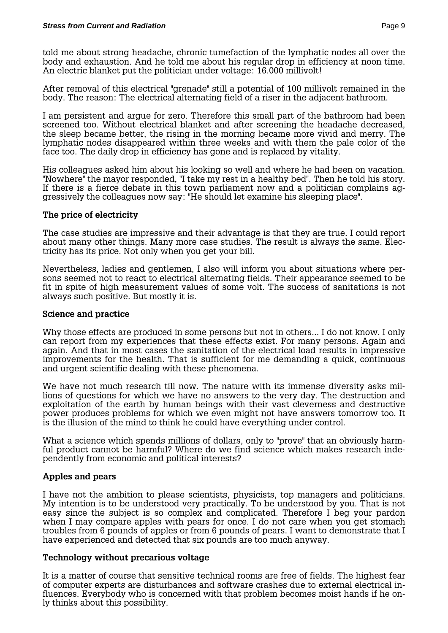told me about strong headache, chronic tumefaction of the lymphatic nodes all over the body and exhaustion. And he told me about his regular drop in efficiency at noon time. An electric blanket put the politician under voltage: 16.000 millivolt!

After removal of this electrical "grenade" still a potential of 100 millivolt remained in the body. The reason: The electrical alternating field of a riser in the adjacent bathroom.

I am persistent and argue for zero. Therefore this small part of the bathroom had been screened too. Without electrical blanket and after screening the headache decreased, the sleep became better, the rising in the morning became more vivid and merry. The lymphatic nodes disappeared within three weeks and with them the pale color of the face too. The daily drop in efficiency has gone and is replaced by vitality.

His colleagues asked him about his looking so well and where he had been on vacation. "Nowhere" the mayor responded, "I take my rest in a healthy bed". Then he told his story. If there is a fierce debate in this town parliament now and a politician complains aggressively the colleagues now say: "He should let examine his sleeping place".

# **The price of electricity**

The case studies are impressive and their advantage is that they are true. I could report about many other things. Many more case studies. The result is always the same. Electricity has its price. Not only when you get your bill.

Nevertheless, ladies and gentlemen, I also will inform you about situations where persons seemed not to react to electrical alternating fields. Their appearance seemed to be fit in spite of high measurement values of some volt. The success of sanitations is not always such positive. But mostly it is.

### **Science and practice**

Why those effects are produced in some persons but not in others... I do not know. I only can report from my experiences that these effects exist. For many persons. Again and again. And that in most cases the sanitation of the electrical load results in impressive improvements for the health. That is sufficient for me demanding a quick, continuous and urgent scientific dealing with these phenomena.

We have not much research till now. The nature with its immense diversity asks millions of questions for which we have no answers to the very day. The destruction and exploitation of the earth by human beings with their vast cleverness and destructive power produces problems for which we even might not have answers tomorrow too. It is the illusion of the mind to think he could have everything under control.

What a science which spends millions of dollars, only to "prove" that an obviously harmful product cannot be harmful? Where do we find science which makes research independently from economic and political interests?

# **Apples and pears**

I have not the ambition to please scientists, physicists, top managers and politicians. My intention is to be understood very practically. To be understood by you. That is not easy since the subject is so complex and complicated. Therefore I beg your pardon when I may compare apples with pears for once. I do not care when you get stomach troubles from 6 pounds of apples or from 6 pounds of pears. I want to demonstrate that I have experienced and detected that six pounds are too much anyway.

#### **Technology without precarious voltage**

It is a matter of course that sensitive technical rooms are free of fields. The highest fear of computer experts are disturbances and software crashes due to external electrical influences. Everybody who is concerned with that problem becomes moist hands if he only thinks about this possibility.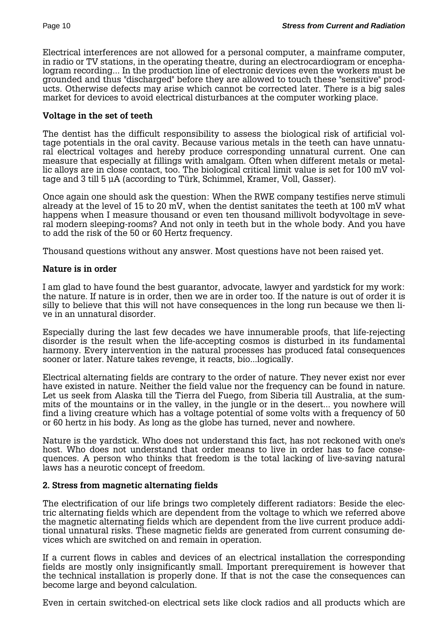Electrical interferences are not allowed for a personal computer, a mainframe computer, in radio or TV stations, in the operating theatre, during an electrocardiogram or encephalogram recording... In the production line of electronic devices even the workers must be grounded and thus "discharged" before they are allowed to touch these "sensitive" products. Otherwise defects may arise which cannot be corrected later. There is a big sales market for devices to avoid electrical disturbances at the computer working place.

### **Voltage in the set of teeth**

The dentist has the difficult responsibility to assess the biological risk of artificial voltage potentials in the oral cavity. Because various metals in the teeth can have unnatural electrical voltages and hereby produce corresponding unnatural current. One can measure that especially at fillings with amalgam. Often when different metals or metallic alloys are in close contact, too. The biological critical limit value is set for 100 mV voltage and 3 till 5 µA (according to Türk, Schimmel, Kramer, Voll, Gasser).

Once again one should ask the question: When the RWE company testifies nerve stimuli already at the level of 15 to 20 mV, when the dentist sanitates the teeth at 100 mV what happens when I measure thousand or even ten thousand millivolt bodyvoltage in several modern sleeping-rooms? And not only in teeth but in the whole body. And you have to add the risk of the 50 or 60 Hertz frequency.

Thousand questions without any answer. Most questions have not been raised yet.

# **Nature is in order**

I am glad to have found the best guarantor, advocate, lawyer and yardstick for my work: the nature. If nature is in order, then we are in order too. If the nature is out of order it is silly to believe that this will not have consequences in the long run because we then live in an unnatural disorder.

Especially during the last few decades we have innumerable proofs, that life-rejecting disorder is the result when the life-accepting cosmos is disturbed in its fundamental harmony. Every intervention in the natural processes has produced fatal consequences sooner or later. Nature takes revenge, it reacts, bio...logically.

Electrical alternating fields are contrary to the order of nature. They never exist nor ever have existed in nature. Neither the field value nor the frequency can be found in nature. Let us seek from Alaska till the Tierra del Fuego, from Siberia till Australia, at the summits of the mountains or in the valley, in the jungle or in the desert... you nowhere will find a living creature which has a voltage potential of some volts with a frequency of 50 or 60 hertz in his body. As long as the globe has turned, never and nowhere.

Nature is the yardstick. Who does not understand this fact, has not reckoned with one's host. Who does not understand that order means to live in order has to face consequences. A person who thinks that freedom is the total lacking of live-saving natural laws has a neurotic concept of freedom.

#### **2. Stress from magnetic alternating fields**

The electrification of our life brings two completely different radiators: Beside the electric alternating fields which are dependent from the voltage to which we referred above the magnetic alternating fields which are dependent from the live current produce additional unnatural risks. These magnetic fields are generated from current consuming devices which are switched on and remain in operation.

If a current flows in cables and devices of an electrical installation the corresponding fields are mostly only insignificantly small. Important prerequirement is however that the technical installation is properly done. If that is not the case the consequences can become large and beyond calculation.

Even in certain switched-on electrical sets like clock radios and all products which are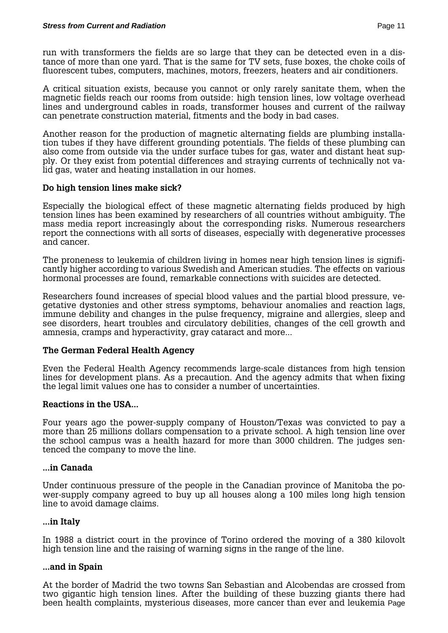run with transformers the fields are so large that they can be detected even in a distance of more than one yard. That is the same for TV sets, fuse boxes, the choke coils of fluorescent tubes, computers, machines, motors, freezers, heaters and air conditioners.

A critical situation exists, because you cannot or only rarely sanitate them, when the magnetic fields reach our rooms from outside: high tension lines, low voltage overhead lines and underground cables in roads, transformer houses and current of the railway can penetrate construction material, fitments and the body in bad cases.

Another reason for the production of magnetic alternating fields are plumbing installation tubes if they have different grounding potentials. The fields of these plumbing can also come from outside via the under surface tubes for gas, water and distant heat supply. Or they exist from potential differences and straying currents of technically not valid gas, water and heating installation in our homes.

# **Do high tension lines make sick?**

Especially the biological effect of these magnetic alternating fields produced by high tension lines has been examined by researchers of all countries without ambiguity. The mass media report increasingly about the corresponding risks. Numerous researchers report the connections with all sorts of diseases, especially with degenerative processes and cancer.

The proneness to leukemia of children living in homes near high tension lines is significantly higher according to various Swedish and American studies. The effects on various hormonal processes are found, remarkable connections with suicides are detected.

Researchers found increases of special blood values and the partial blood pressure, vegetative dystonies and other stress symptoms, behaviour anomalies and reaction lags, immune debility and changes in the pulse frequency, migraine and allergies, sleep and see disorders, heart troubles and circulatory debilities, changes of the cell growth and amnesia, cramps and hyperactivity, gray cataract and more...

# **The German Federal Health Agency**

Even the Federal Health Agency recommends large-scale distances from high tension lines for development plans. As a precaution. And the agency admits that when fixing the legal limit values one has to consider a number of uncertainties.

#### **Reactions in the USA...**

Four years ago the power-supply company of Houston/Texas was convicted to pay a more than 25 millions dollars compensation to a private school. A high tension line over the school campus was a health hazard for more than 3000 children. The judges sentenced the company to move the line.

#### **...in Canada**

Under continuous pressure of the people in the Canadian province of Manitoba the power-supply company agreed to buy up all houses along a 100 miles long high tension line to avoid damage claims.

#### **...in Italy**

In 1988 a district court in the province of Torino ordered the moving of a 380 kilovolt high tension line and the raising of warning signs in the range of the line.

#### **...and in Spain**

At the border of Madrid the two towns San Sebastian and Alcobendas are crossed from two gigantic high tension lines. After the building of these buzzing giants there had been health complaints, mysterious diseases, more cancer than ever and leukemia Page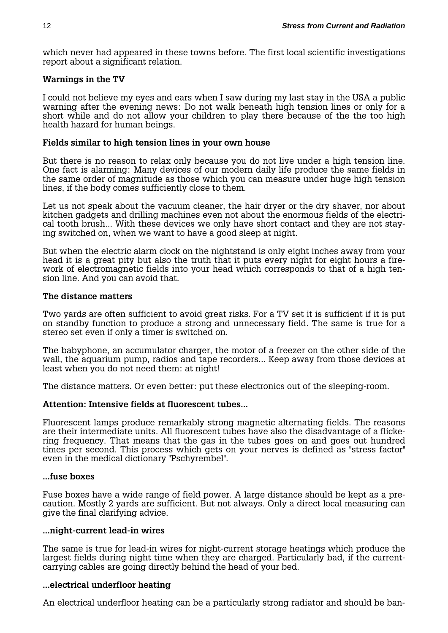which never had appeared in these towns before. The first local scientific investigations report about a significant relation.

#### **Warnings in the TV**

I could not believe my eyes and ears when I saw during my last stay in the USA a public warning after the evening news: Do not walk beneath high tension lines or only for a short while and do not allow your children to play there because of the the too high health hazard for human beings.

#### **Fields similar to high tension lines in your own house**

But there is no reason to relax only because you do not live under a high tension line. One fact is alarming: Many devices of our modern daily life produce the same fields in the same order of magnitude as those which you can measure under huge high tension lines, if the body comes sufficiently close to them.

Let us not speak about the vacuum cleaner, the hair dryer or the dry shaver, nor about kitchen gadgets and drilling machines even not about the enormous fields of the electrical tooth brush... With these devices we only have short contact and they are not staying switched on, when we want to have a good sleep at night.

But when the electric alarm clock on the nightstand is only eight inches away from your head it is a great pity but also the truth that it puts every night for eight hours a firework of electromagnetic fields into your head which corresponds to that of a high tension line. And you can avoid that.

#### **The distance matters**

Two yards are often sufficient to avoid great risks. For a TV set it is sufficient if it is put on standby function to produce a strong and unnecessary field. The same is true for a stereo set even if only a timer is switched on.

The babyphone, an accumulator charger, the motor of a freezer on the other side of the wall, the aquarium pump, radios and tape recorders... Keep away from those devices at least when you do not need them: at night!

The distance matters. Or even better: put these electronics out of the sleeping-room.

#### **Attention: Intensive fields at fluorescent tubes...**

Fluorescent lamps produce remarkably strong magnetic alternating fields. The reasons are their intermediate units. All fluorescent tubes have also the disadvantage of a flickering frequency. That means that the gas in the tubes goes on and goes out hundred times per second. This process which gets on your nerves is defined as "stress factor" even in the medical dictionary "Pschyrembel".

#### **...fuse boxes**

Fuse boxes have a wide range of field power. A large distance should be kept as a precaution. Mostly 2 yards are sufficient. But not always. Only a direct local measuring can give the final clarifying advice.

#### **...night-current lead-in wires**

The same is true for lead-in wires for night-current storage heatings which produce the largest fields during night time when they are charged. Particularly bad, if the currentcarrying cables are going directly behind the head of your bed.

#### **...electrical underfloor heating**

An electrical underfloor heating can be a particularly strong radiator and should be ban-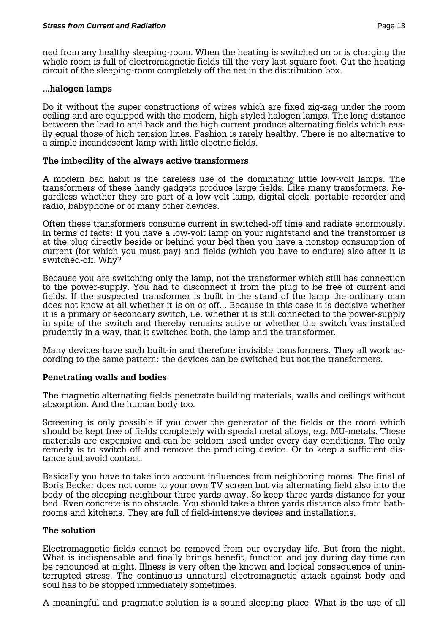ned from any healthy sleeping-room. When the heating is switched on or is charging the whole room is full of electromagnetic fields till the very last square foot. Cut the heating circuit of the sleeping-room completely off the net in the distribution box.

#### **...halogen lamps**

Do it without the super constructions of wires which are fixed zig-zag under the room ceiling and are equipped with the modern, high-styled halogen lamps. The long distance between the lead to and back and the high current produce alternating fields which easily equal those of high tension lines. Fashion is rarely healthy. There is no alternative to a simple incandescent lamp with little electric fields.

#### **The imbecility of the always active transformers**

A modern bad habit is the careless use of the dominating little low-volt lamps. The transformers of these handy gadgets produce large fields. Like many transformers. Regardless whether they are part of a low-volt lamp, digital clock, portable recorder and radio, babyphone or of many other devices.

Often these transformers consume current in switched-off time and radiate enormously. In terms of facts: If you have a low-volt lamp on your nightstand and the transformer is at the plug directly beside or behind your bed then you have a nonstop consumption of current (for which you must pay) and fields (which you have to endure) also after it is switched-off. Why?

Because you are switching only the lamp, not the transformer which still has connection to the power-supply. You had to disconnect it from the plug to be free of current and fields. If the suspected transformer is built in the stand of the lamp the ordinary man does not know at all whether it is on or off... Because in this case it is decisive whether it is a primary or secondary switch, i.e. whether it is still connected to the power-supply in spite of the switch and thereby remains active or whether the switch was installed prudently in a way, that it switches both, the lamp and the transformer.

Many devices have such built-in and therefore invisible transformers. They all work according to the same pattern: the devices can be switched but not the transformers.

#### **Penetrating walls and bodies**

The magnetic alternating fields penetrate building materials, walls and ceilings without absorption. And the human body too.

Screening is only possible if you cover the generator of the fields or the room which should be kept free of fields completely with special metal alloys, e.g. MU-metals. These materials are expensive and can be seldom used under every day conditions. The only remedy is to switch off and remove the producing device. Or to keep a sufficient distance and avoid contact.

Basically you have to take into account influences from neighboring rooms. The final of Boris Becker does not come to your own TV screen but via alternating field also into the body of the sleeping neighbour three yards away. So keep three yards distance for your bed. Even concrete is no obstacle. You should take a three yards distance also from bathrooms and kitchens. They are full of field-intensive devices and installations.

#### **The solution**

Electromagnetic fields cannot be removed from our everyday life. But from the night. What is indispensable and finally brings benefit, function and joy during day time can be renounced at night. Illness is very often the known and logical consequence of uninterrupted stress. The continuous unnatural electromagnetic attack against body and soul has to be stopped immediately sometimes.

A meaningful and pragmatic solution is a sound sleeping place. What is the use of all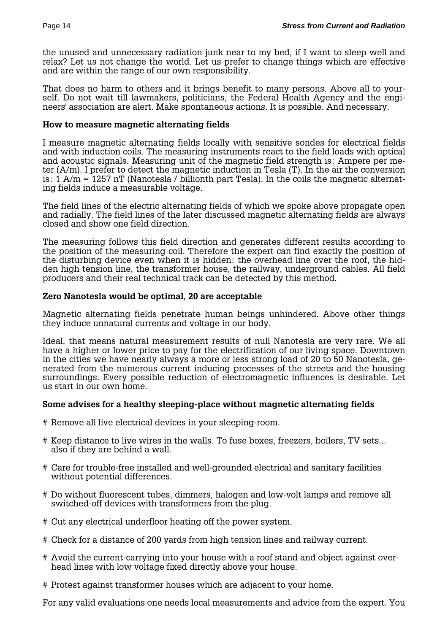the unused and unnecessary radiation junk near to my bed, if I want to sleep well and relax? Let us not change the world. Let us prefer to change things which are effective and are within the range of our own responsibility.

That does no harm to others and it brings benefit to many persons. Above all to yourself. Do not wait till lawmakers, politicians, the Federal Health Agency and the engineers' association are alert. Make spontaneous actions. It is possible. And necessary.

#### **How to measure magnetic alternating fields**

I measure magnetic alternating fields locally with sensitive sondes for electrical fields and with induction coils. The measuring instruments react to the field loads with optical and acoustic signals. Measuring unit of the magnetic field strength is: Ampere per meter (A/m). I prefer to detect the magnetic induction in Tesla (T). In the air the conversion is: 1 A/m = 1257 nT (Nanotesla / billionth part Tesla). In the coils the magnetic alternating fields induce a measurable voltage.

The field lines of the electric alternating fields of which we spoke above propagate open and radially. The field lines of the later discussed magnetic alternating fields are always closed and show one field direction.

The measuring follows this field direction and generates different results according to the position of the measuring coil. Therefore the expert can find exactly the position of the disturbing device even when it is hidden: the overhead line over the roof, the hidden high tension line, the transformer house, the railway, underground cables. All field producers and their real technical track can be detected by this method.

#### **Zero Nanotesla would be optimal, 20 are acceptable**

Magnetic alternating fields penetrate human beings unhindered. Above other things they induce unnatural currents and voltage in our body.

Ideal, that means natural measurement results of null Nanotesla are very rare. We all have a higher or lower price to pay for the electrification of our living space. Downtown in the cities we have nearly always a more or less strong load of 20 to 50 Nanotesla, generated from the numerous current inducing processes of the streets and the housing surroundings. Every possible reduction of electromagnetic influences is desirable. Let us start in our own home.

#### **Some advises for a healthy sleeping-place without magnetic alternating fields**

- # Remove all live electrical devices in your sleeping-room.
- # Keep distance to live wires in the walls. To fuse boxes, freezers, boilers, TV sets... also if they are behind a wall.
- # Care for trouble-free installed and well-grounded electrical and sanitary facilities without potential differences.
- # Do without fluorescent tubes, dimmers, halogen and low-volt lamps and remove all switched-off devices with transformers from the plug.
- # Cut any electrical underfloor heating off the power system.
- # Check for a distance of 200 yards from high tension lines and railway current.
- # Avoid the current-carrying into your house with a roof stand and object against over head lines with low voltage fixed directly above your house.
- # Protest against transformer houses which are adjacent to your home.

For any valid evaluations one needs local measurements and advice from the expert. You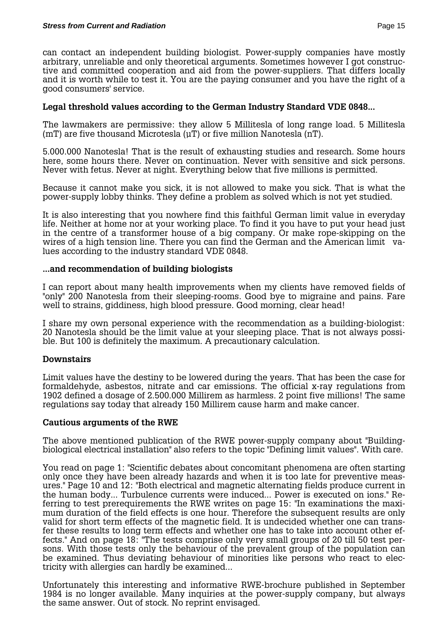can contact an independent building biologist. Power-supply companies have mostly arbitrary, unreliable and only theoretical arguments. Sometimes however I got constructive and committed cooperation and aid from the power-suppliers. That differs locally and it is worth while to test it. You are the paying consumer and you have the right of a good consumers' service.

# **Legal threshold values according to the German Industry Standard VDE 0848...**

The lawmakers are permissive: they allow 5 Millitesla of long range load. 5 Millitesla (mT) are five thousand Microtesla (µT) or five million Nanotesla (nT).

5.000.000 Nanotesla! That is the result of exhausting studies and research. Some hours here, some hours there. Never on continuation. Never with sensitive and sick persons. Never with fetus. Never at night. Everything below that five millions is permitted.

Because it cannot make you sick, it is not allowed to make you sick. That is what the power-supply lobby thinks. They define a problem as solved which is not yet studied.

It is also interesting that you nowhere find this faithful German limit value in everyday life. Neither at home nor at your working place. To find it you have to put your head just in the centre of a transformer house of a big company. Or make rope-skipping on the wires of a high tension line. There you can find the German and the American limit values according to the industry standard VDE 0848.

# **...and recommendation of building biologists**

I can report about many health improvements when my clients have removed fields of "only" 200 Nanotesla from their sleeping-rooms. Good bye to migraine and pains. Fare well to strains, giddiness, high blood pressure. Good morning, clear head!

I share my own personal experience with the recommendation as a building-biologist: 20 Nanotesla should be the limit value at your sleeping place. That is not always possible. But 100 is definitely the maximum. A precautionary calculation.

#### **Downstairs**

Limit values have the destiny to be lowered during the years. That has been the case for formaldehyde, asbestos, nitrate and car emissions. The official x-ray regulations from 1902 defined a dosage of 2.500.000 Millirem as harmless. 2 point five millions! The same regulations say today that already 150 Millirem cause harm and make cancer.

#### **Cautious arguments of the RWE**

The above mentioned publication of the RWE power-supply company about "Buildingbiological electrical installation" also refers to the topic "Defining limit values". With care.

You read on page 1: "Scientific debates about concomitant phenomena are often starting only once they have been already hazards and when it is too late for preventive measures." Page 10 and 12: "Both electrical and magnetic alternating fields produce current in the human body... Turbulence currents were induced... Power is executed on ions." Referring to test prerequirements the RWE writes on page 15: "In examinations the maximum duration of the field effects is one hour. Therefore the subsequent results are only valid for short term effects of the magnetic field. It is undecided whether one can transfer these results to long term effects and whether one has to take into account other effects." And on page 18: "The tests comprise only very small groups of 20 till 50 test persons. With those tests only the behaviour of the prevalent group of the population can be examined. Thus deviating behaviour of minorities like persons who react to electricity with allergies can hardly be examined...

Unfortunately this interesting and informative RWE-brochure published in September 1984 is no longer available. Many inquiries at the power-supply company, but always the same answer. Out of stock. No reprint envisaged.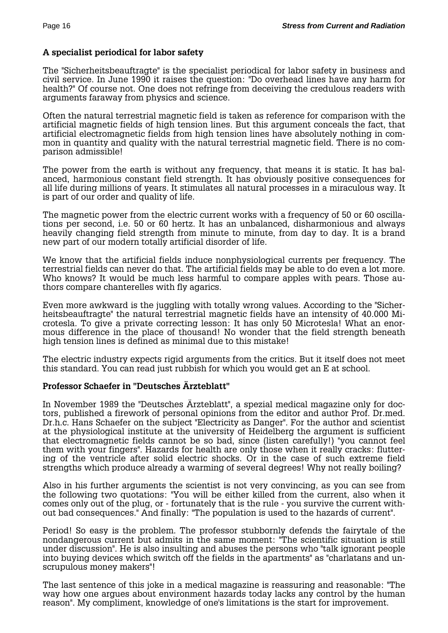# **A specialist periodical for labor safety**

The "Sicherheitsbeauftragte" is the specialist periodical for labor safety in business and civil service. In June 1990 it raises the question: "Do overhead lines have any harm for health?" Of course not. One does not refringe from deceiving the credulous readers with arguments faraway from physics and science.

Often the natural terrestrial magnetic field is taken as reference for comparison with the artificial magnetic fields of high tension lines. But this argument conceals the fact, that artificial electromagnetic fields from high tension lines have absolutely nothing in common in quantity and quality with the natural terrestrial magnetic field. There is no comparison admissible!

The power from the earth is without any frequency, that means it is static. It has balanced, harmonious constant field strength. It has obviously positive consequences for all life during millions of years. It stimulates all natural processes in a miraculous way. It is part of our order and quality of life.

The magnetic power from the electric current works with a frequency of 50 or 60 oscillations per second, i.e. 50 or 60 hertz. It has an unbalanced, disharmonious and always heavily changing field strength from minute to minute, from day to day. It is a brand new part of our modern totally artificial disorder of life.

We know that the artificial fields induce nonphysiological currents per frequency. The terrestrial fields can never do that. The artificial fields may be able to do even a lot more. Who knows? It would be much less harmful to compare apples with pears. Those authors compare chanterelles with fly agarics.

Even more awkward is the juggling with totally wrong values. According to the "Sicherheitsbeauftragte" the natural terrestrial magnetic fields have an intensity of 40.000 Microtesla. To give a private correcting lesson: It has only 50 Microtesla! What an enormous difference in the place of thousand! No wonder that the field strength beneath high tension lines is defined as minimal due to this mistake!

The electric industry expects rigid arguments from the critics. But it itself does not meet this standard. You can read just rubbish for which you would get an E at school.

#### **Professor Schaefer in "Deutsches Ärzteblatt"**

In November 1989 the "Deutsches Ärzteblatt", a spezial medical magazine only for doctors, published a firework of personal opinions from the editor and author Prof. Dr.med. Dr.h.c. Hans Schaefer on the subject "Electricity as Danger". For the author and scientist at the physiological institute at the university of Heidelberg the argument is sufficient that electromagnetic fields cannot be so bad, since (listen carefully!) "you cannot feel them with your fingers". Hazards for health are only those when it really cracks: fluttering of the ventricle after solid electric shocks. Or in the case of such extreme field strengths which produce already a warming of several degrees! Why not really boiling?

Also in his further arguments the scientist is not very convincing, as you can see from the following two quotations: "You will be either killed from the current, also when it comes only out of the plug, or - fortunately that is the rule - you survive the current without bad consequences." And finally: "The population is used to the hazards of current".

Period! So easy is the problem. The professor stubbornly defends the fairytale of the nondangerous current but admits in the same moment: "The scientific situation is still under discussion". He is also insulting and abuses the persons who "talk ignorant people into buying devices which switch off the fields in the apartments" as "charlatans and unscrupulous money makers"!

The last sentence of this joke in a medical magazine is reassuring and reasonable: "The way how one argues about environment hazards today lacks any control by the human reason". My compliment, knowledge of one's limitations is the start for improvement.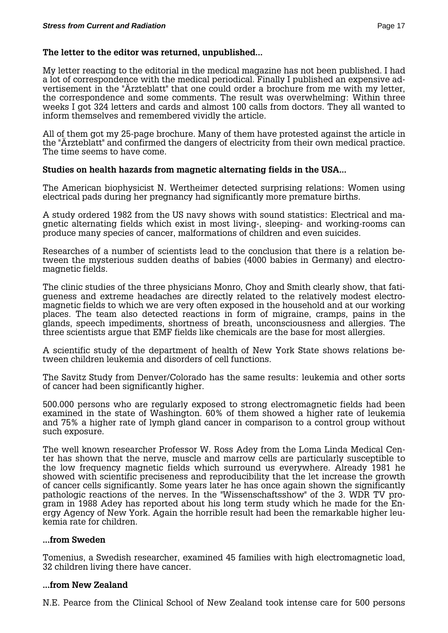#### **The letter to the editor was returned, unpublished...**

My letter reacting to the editorial in the medical magazine has not been published. I had a lot of correspondence with the medical periodical. Finally I published an expensive advertisement in the "Ärzteblatt" that one could order a brochure from me with my letter, the correspondence and some comments. The result was overwhelming: Within three weeks I got 324 letters and cards and almost 100 calls from doctors. They all wanted to inform themselves and remembered vividly the article.

All of them got my 25-page brochure. Many of them have protested against the article in the "Ärzteblatt" and confirmed the dangers of electricity from their own medical practice. The time seems to have come.

#### **Studies on health hazards from magnetic alternating fields in the USA...**

The American biophysicist N. Wertheimer detected surprising relations: Women using electrical pads during her pregnancy had significantly more premature births.

A study ordered 1982 from the US navy shows with sound statistics: Electrical and magnetic alternating fields which exist in most living-, sleeping- and working-rooms can produce many species of cancer, malformations of children and even suicides.

Researches of a number of scientists lead to the conclusion that there is a relation between the mysterious sudden deaths of babies (4000 babies in Germany) and electromagnetic fields.

The clinic studies of the three physicians Monro, Choy and Smith clearly show, that fatigueness and extreme headaches are directly related to the relatively modest electromagnetic fields to which we are very often exposed in the household and at our working places. The team also detected reactions in form of migraine, cramps, pains in the glands, speech impediments, shortness of breath, unconsciousness and allergies. The three scientists argue that EMF fields like chemicals are the base for most allergies.

A scientific study of the department of health of New York State shows relations between children leukemia and disorders of cell functions.

The Savitz Study from Denver/Colorado has the same results: leukemia and other sorts of cancer had been significantly higher.

500.000 persons who are regularly exposed to strong electromagnetic fields had been examined in the state of Washington. 60% of them showed a higher rate of leukemia and 75% a higher rate of lymph gland cancer in comparison to a control group without such exposure.

The well known researcher Professor W. Ross Adey from the Loma Linda Medical Center has shown that the nerve, muscle and marrow cells are particularly susceptible to the low frequency magnetic fields which surround us everywhere. Already 1981 he showed with scientific preciseness and reproducibility that the let increase the growth of cancer cells significantly. Some years later he has once again shown the significantly pathologic reactions of the nerves. In the "Wissenschaftsshow" of the 3. WDR TV program in 1988 Adey has reported about his long term study which he made for the Energy Agency of New York. Again the horrible result had been the remarkable higher leukemia rate for children.

#### **...from Sweden**

Tomenius, a Swedish researcher, examined 45 families with high electromagnetic load, 32 children living there have cancer.

#### **...from New Zealand**

N.E. Pearce from the Clinical School of New Zealand took intense care for 500 persons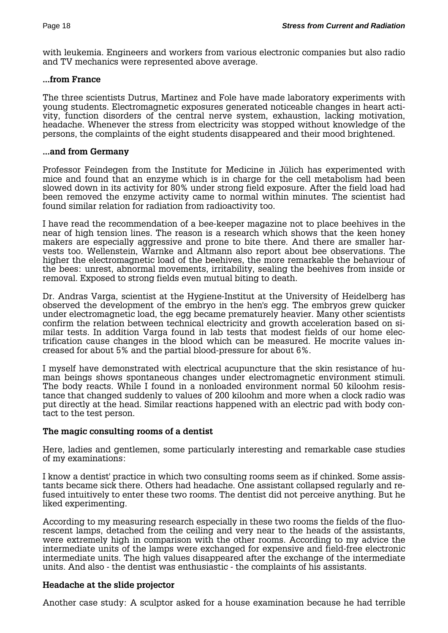with leukemia. Engineers and workers from various electronic companies but also radio and TV mechanics were represented above average.

#### **...from France**

The three scientists Dutrus, Martinez and Fole have made laboratory experiments with young students. Electromagnetic exposures generated noticeable changes in heart activity, function disorders of the central nerve system, exhaustion, lacking motivation, headache. Whenever the stress from electricity was stopped without knowledge of the persons, the complaints of the eight students disappeared and their mood brightened.

#### **...and from Germany**

Professor Feindegen from the Institute for Medicine in Jülich has experimented with mice and found that an enzyme which is in charge for the cell metabolism had been slowed down in its activity for 80% under strong field exposure. After the field load had been removed the enzyme activity came to normal within minutes. The scientist had found similar relation for radiation from radioactivity too.

I have read the recommendation of a bee-keeper magazine not to place beehives in the near of high tension lines. The reason is a research which shows that the keen honey makers are especially aggressive and prone to bite there. And there are smaller harvests too. Wellenstein, Warnke and Altmann also report about bee observations. The higher the electromagnetic load of the beehives, the more remarkable the behaviour of the bees: unrest, abnormal movements, irritability, sealing the beehives from inside or removal. Exposed to strong fields even mutual biting to death.

Dr. Andras Varga, scientist at the Hygiene-Institut at the University of Heidelberg has observed the development of the embryo in the hen's egg. The embryos grew quicker under electromagnetic load, the egg became prematurely heavier. Many other scientists confirm the relation between technical electricity and growth acceleration based on similar tests. In addition Varga found in lab tests that modest fields of our home electrification cause changes in the blood which can be measured. He mocrite values increased for about 5% and the partial blood-pressure for about 6%.

I myself have demonstrated with electrical acupuncture that the skin resistance of human beings shows spontaneous changes under electromagnetic environment stimuli. The body reacts. While I found in a nonloaded environment normal 50 kiloohm resistance that changed suddenly to values of 200 kiloohm and more when a clock radio was put directly at the head. Similar reactions happened with an electric pad with body contact to the test person.

#### **The magic consulting rooms of a dentist**

Here, ladies and gentlemen, some particularly interesting and remarkable case studies of my examinations:

I know a dentist' practice in which two consulting rooms seem as if chinked. Some assistants became sick there. Others had headache. One assistant collapsed regularly and refused intuitively to enter these two rooms. The dentist did not perceive anything. But he liked experimenting.

According to my measuring research especially in these two rooms the fields of the fluorescent lamps, detached from the ceiling and very near to the heads of the assistants, were extremely high in comparison with the other rooms. According to my advice the intermediate units of the lamps were exchanged for expensive and field-free electronic intermediate units. The high values disappeared after the exchange of the intermediate units. And also - the dentist was enthusiastic - the complaints of his assistants.

#### **Headache at the slide projector**

Another case study: A sculptor asked for a house examination because he had terrible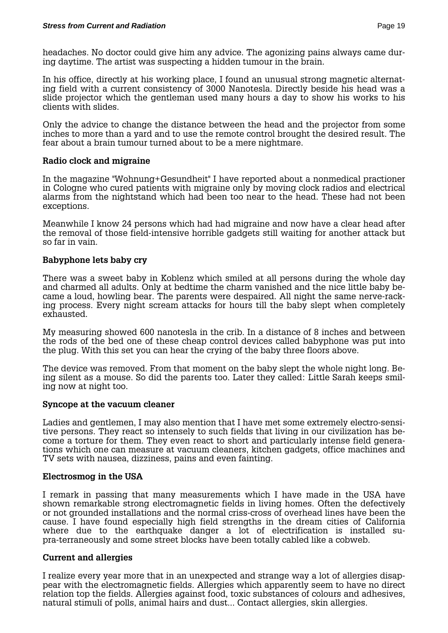headaches. No doctor could give him any advice. The agonizing pains always came during daytime. The artist was suspecting a hidden tumour in the brain.

In his office, directly at his working place, I found an unusual strong magnetic alternating field with a current consistency of 3000 Nanotesla. Directly beside his head was a slide projector which the gentleman used many hours a day to show his works to his clients with slides.

Only the advice to change the distance between the head and the projector from some inches to more than a yard and to use the remote control brought the desired result. The fear about a brain tumour turned about to be a mere nightmare.

#### **Radio clock and migraine**

In the magazine "Wohnung+Gesundheit" I have reported about a nonmedical practioner in Cologne who cured patients with migraine only by moving clock radios and electrical alarms from the nightstand which had been too near to the head. These had not been exceptions.

Meanwhile I know 24 persons which had had migraine and now have a clear head after the removal of those field-intensive horrible gadgets still waiting for another attack but so far in vain.

# **Babyphone lets baby cry**

There was a sweet baby in Koblenz which smiled at all persons during the whole day and charmed all adults. Only at bedtime the charm vanished and the nice little baby became a loud, howling bear. The parents were despaired. All night the same nerve-racking process. Every night scream attacks for hours till the baby slept when completely exhausted.

My measuring showed 600 nanotesla in the crib. In a distance of 8 inches and between the rods of the bed one of these cheap control devices called babyphone was put into the plug. With this set you can hear the crying of the baby three floors above.

The device was removed. From that moment on the baby slept the whole night long. Being silent as a mouse. So did the parents too. Later they called: Little Sarah keeps smiling now at night too.

#### **Syncope at the vacuum cleaner**

Ladies and gentlemen, I may also mention that I have met some extremely electro-sensitive persons. They react so intensely to such fields that living in our civilization has become a torture for them. They even react to short and particularly intense field generations which one can measure at vacuum cleaners, kitchen gadgets, office machines and TV sets with nausea, dizziness, pains and even fainting.

#### **Electrosmog in the USA**

I remark in passing that many measurements which I have made in the USA have shown remarkable strong electromagnetic fields in living homes. Often the defectively or not grounded installations and the normal criss-cross of overhead lines have been the cause. I have found especially high field strengths in the dream cities of California where due to the earthquake danger a lot of electrification is installed supra-terraneously and some street blocks have been totally cabled like a cobweb.

#### **Current and allergies**

I realize every year more that in an unexpected and strange way a lot of allergies disappear with the electromagnetic fields. Allergies which apparently seem to have no direct relation top the fields. Allergies against food, toxic substances of colours and adhesives, natural stimuli of polls, animal hairs and dust... Contact allergies, skin allergies.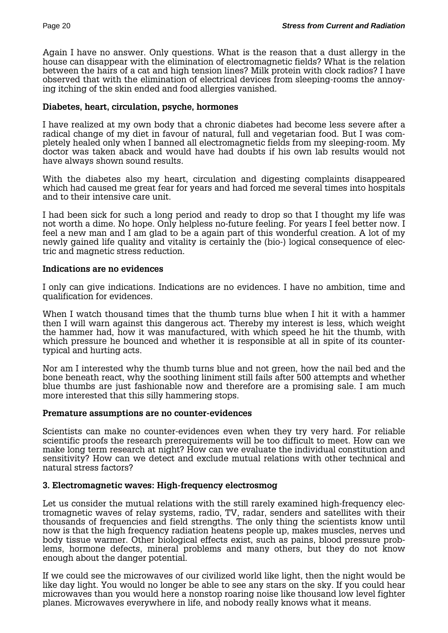Again I have no answer. Only questions. What is the reason that a dust allergy in the house can disappear with the elimination of electromagnetic fields? What is the relation between the hairs of a cat and high tension lines? Milk protein with clock radios? I have observed that with the elimination of electrical devices from sleeping-rooms the annoying itching of the skin ended and food allergies vanished.

#### **Diabetes, heart, circulation, psyche, hormones**

I have realized at my own body that a chronic diabetes had become less severe after a radical change of my diet in favour of natural, full and vegetarian food. But I was completely healed only when I banned all electromagnetic fields from my sleeping-room. My doctor was taken aback and would have had doubts if his own lab results would not have always shown sound results.

With the diabetes also my heart, circulation and digesting complaints disappeared which had caused me great fear for years and had forced me several times into hospitals and to their intensive care unit.

I had been sick for such a long period and ready to drop so that I thought my life was not worth a dime. No hope. Only helpless no-future feeling. For years I feel better now. I feel a new man and I am glad to be a again part of this wonderful creation. A lot of my newly gained life quality and vitality is certainly the (bio-) logical consequence of electric and magnetic stress reduction.

# **Indications are no evidences**

I only can give indications. Indications are no evidences. I have no ambition, time and qualification for evidences.

When I watch thousand times that the thumb turns blue when I hit it with a hammer then I will warn against this dangerous act. Thereby my interest is less, which weight the hammer had, how it was manufactured, with which speed he hit the thumb, with which pressure he bounced and whether it is responsible at all in spite of its countertypical and hurting acts.

Nor am I interested why the thumb turns blue and not green, how the nail bed and the bone beneath react, why the soothing liniment still fails after 500 attempts and whether blue thumbs are just fashionable now and therefore are a promising sale. I am much more interested that this silly hammering stops.

#### **Premature assumptions are no counter-evidences**

Scientists can make no counter-evidences even when they try very hard. For reliable scientific proofs the research prerequirements will be too difficult to meet. How can we make long term research at night? How can we evaluate the individual constitution and sensitivity? How can we detect and exclude mutual relations with other technical and natural stress factors?

# **3. Electromagnetic waves: High-frequency electrosmog**

Let us consider the mutual relations with the still rarely examined high-frequency electromagnetic waves of relay systems, radio, TV, radar, senders and satellites with their thousands of frequencies and field strengths. The only thing the scientists know until now is that the high frequency radiation heatens people up, makes muscles, nerves und body tissue warmer. Other biological effects exist, such as pains, blood pressure problems, hormone defects, mineral problems and many others, but they do not know enough about the danger potential.

If we could see the microwaves of our civilized world like light, then the night would be like day light. You would no longer be able to see any stars on the sky. If you could hear microwaves than you would here a nonstop roaring noise like thousand low level fighter planes. Microwaves everywhere in life, and nobody really knows what it means.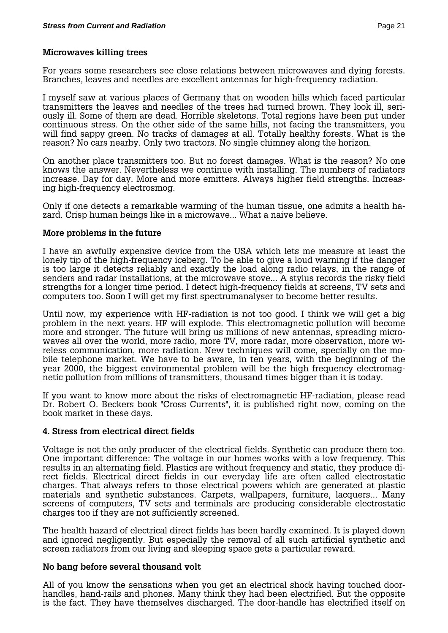#### **Microwaves killing trees**

For years some researchers see close relations between microwaves and dying forests. Branches, leaves and needles are excellent antennas for high-frequency radiation.

I myself saw at various places of Germany that on wooden hills which faced particular transmitters the leaves and needles of the trees had turned brown. They look ill, seriously ill. Some of them are dead. Horrible skeletons. Total regions have been put under continuous stress. On the other side of the same hills, not facing the transmitters, you will find sappy green. No tracks of damages at all. Totally healthy forests. What is the reason? No cars nearby. Only two tractors. No single chimney along the horizon.

On another place transmitters too. But no forest damages. What is the reason? No one knows the answer. Nevertheless we continue with installing. The numbers of radiators increase. Day for day. More and more emitters. Always higher field strengths. Increasing high-frequency electrosmog.

Only if one detects a remarkable warming of the human tissue, one admits a health hazard. Crisp human beings like in a microwave... What a naive believe.

#### **More problems in the future**

I have an awfully expensive device from the USA which lets me measure at least the lonely tip of the high-frequency iceberg. To be able to give a loud warning if the danger is too large it detects reliably and exactly the load along radio relays, in the range of senders and radar installations, at the microwave stove... A stylus records the risky field strengths for a longer time period. I detect high-frequency fields at screens, TV sets and computers too. Soon I will get my first spectrumanalyser to become better results.

Until now, my experience with HF-radiation is not too good. I think we will get a big problem in the next years. HF will explode. This electromagnetic pollution will become more and stronger. The future will bring us millions of new antennas, spreading microwaves all over the world, more radio, more TV, more radar, more observation, more wireless communication, more radiation. New techniques will come, specially on the mobile telephone market. We have to be aware, in ten years, with the beginning of the year 2000, the biggest environmental problem will be the high frequency electromagnetic pollution from millions of transmitters, thousand times bigger than it is today.

If you want to know more about the risks of electromagnetic HF-radiation, please read Dr. Robert O. Beckers book "Cross Currents", it is published right now, coming on the book market in these days.

#### **4. Stress from electrical direct fields**

Voltage is not the only producer of the electrical fields. Synthetic can produce them too. One important difference: The voltage in our homes works with a low frequency. This results in an alternating field. Plastics are without frequency and static, they produce direct fields. Electrical direct fields in our everyday life are often called electrostatic charges. That always refers to those electrical powers which are generated at plastic materials and synthetic substances. Carpets, wallpapers, furniture, lacquers... Many screens of computers, TV sets and terminals are producing considerable electrostatic charges too if they are not sufficiently screened.

The health hazard of electrical direct fields has been hardly examined. It is played down and ignored negligently. But especially the removal of all such artificial synthetic and screen radiators from our living and sleeping space gets a particular reward.

#### **No bang before several thousand volt**

All of you know the sensations when you get an electrical shock having touched doorhandles, hand-rails and phones. Many think they had been electrified. But the opposite is the fact. They have themselves discharged. The door-handle has electrified itself on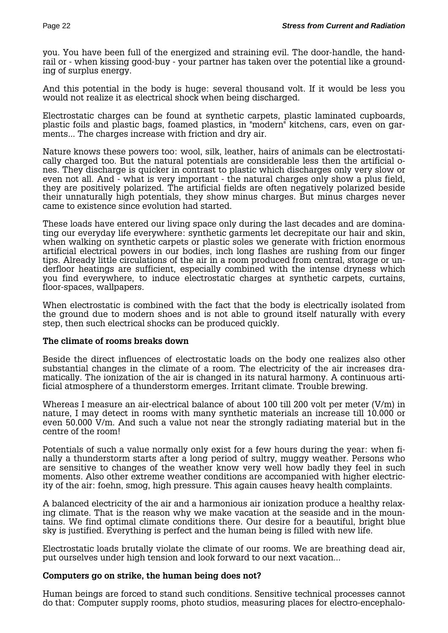you. You have been full of the energized and straining evil. The door-handle, the handrail or - when kissing good-buy - your partner has taken over the potential like a grounding of surplus energy.

And this potential in the body is huge: several thousand volt. If it would be less you would not realize it as electrical shock when being discharged.

Electrostatic charges can be found at synthetic carpets, plastic laminated cupboards, plastic foils and plastic bags, foamed plastics, in "modern" kitchens, cars, even on garments... The charges increase with friction and dry air.

Nature knows these powers too: wool, silk, leather, hairs of animals can be electrostatically charged too. But the natural potentials are considerable less then the artificial ones. They discharge is quicker in contrast to plastic which discharges only very slow or even not all. And - what is very important - the natural charges only show a plus field, they are positively polarized. The artificial fields are often negatively polarized beside their unnaturally high potentials, they show minus charges. But minus charges never came to existence since evolution had started.

These loads have entered our living space only during the last decades and are dominating our everyday life everywhere: synthetic garments let decrepitate our hair and skin, when walking on synthetic carpets or plastic soles we generate with friction enormous artificial electrical powers in our bodies, inch long flashes are rushing from our finger tips. Already little circulations of the air in a room produced from central, storage or underfloor heatings are sufficient, especially combined with the intense dryness which you find everywhere, to induce electrostatic charges at synthetic carpets, curtains, floor-spaces, wallpapers.

When electrostatic is combined with the fact that the body is electrically isolated from the ground due to modern shoes and is not able to ground itself naturally with every step, then such electrical shocks can be produced quickly.

#### **The climate of rooms breaks down**

Beside the direct influences of electrostatic loads on the body one realizes also other substantial changes in the climate of a room. The electricity of the air increases dramatically. The ionization of the air is changed in its natural harmony. A continuous artificial atmosphere of a thunderstorm emerges. Irritant climate. Trouble brewing.

Whereas I measure an air-electrical balance of about 100 till 200 volt per meter (V/m) in nature, I may detect in rooms with many synthetic materials an increase till 10.000 or even 50.000 V/m. And such a value not near the strongly radiating material but in the centre of the room!

Potentials of such a value normally only exist for a few hours during the year: when finally a thunderstorm starts after a long period of sultry, muggy weather. Persons who are sensitive to changes of the weather know very well how badly they feel in such moments. Also other extreme weather conditions are accompanied with higher electricity of the air: foehn, smog, high pressure. This again causes heavy health complaints.

A balanced electricity of the air and a harmonious air ionization produce a healthy relaxing climate. That is the reason why we make vacation at the seaside and in the mountains. We find optimal climate conditions there. Our desire for a beautiful, bright blue sky is justified. Everything is perfect and the human being is filled with new life.

Electrostatic loads brutally violate the climate of our rooms. We are breathing dead air, put ourselves under high tension and look forward to our next vacation...

#### **Computers go on strike, the human being does not?**

Human beings are forced to stand such conditions. Sensitive technical processes cannot do that: Computer supply rooms, photo studios, measuring places for electro-encephalo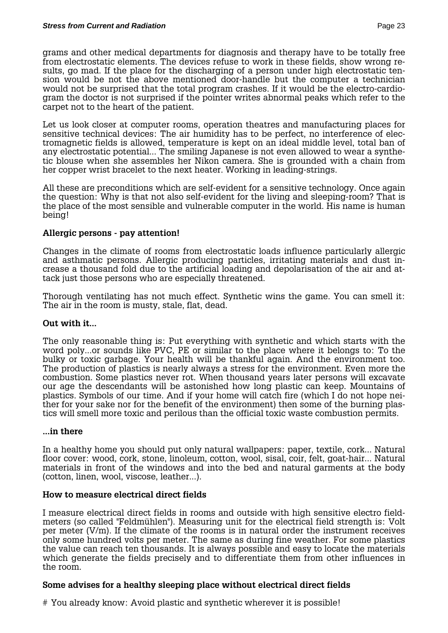grams and other medical departments for diagnosis and therapy have to be totally free from electrostatic elements. The devices refuse to work in these fields, show wrong results, go mad. If the place for the discharging of a person under high electrostatic tension would be not the above mentioned door-handle but the computer a technician would not be surprised that the total program crashes. If it would be the electro-cardiogram the doctor is not surprised if the pointer writes abnormal peaks which refer to the carpet not to the heart of the patient.

Let us look closer at computer rooms, operation theatres and manufacturing places for sensitive technical devices: The air humidity has to be perfect, no interference of electromagnetic fields is allowed, temperature is kept on an ideal middle level, total ban of any electrostatic potential... The smiling Japanese is not even allowed to wear a synthetic blouse when she assembles her Nikon camera. She is grounded with a chain from her copper wrist bracelet to the next heater. Working in leading-strings.

All these are preconditions which are self-evident for a sensitive technology. Once again the question: Why is that not also self-evident for the living and sleeping-room? That is the place of the most sensible and vulnerable computer in the world. His name is human being!

# **Allergic persons - pay attention!**

Changes in the climate of rooms from electrostatic loads influence particularly allergic and asthmatic persons. Allergic producing particles, irritating materials and dust increase a thousand fold due to the artificial loading and depolarisation of the air and attack just those persons who are especially threatened.

Thorough ventilating has not much effect. Synthetic wins the game. You can smell it: The air in the room is musty, stale, flat, dead.

#### **Out with it...**

The only reasonable thing is: Put everything with synthetic and which starts with the word poly...or sounds like PVC, PE or similar to the place where it belongs to: To the bulky or toxic garbage. Your health will be thankful again. And the environment too. The production of plastics is nearly always a stress for the environment. Even more the combustion. Some plastics never rot. When thousand years later persons will excavate our age the descendants will be astonished how long plastic can keep. Mountains of plastics. Symbols of our time. And if your home will catch fire (which I do not hope neither for your sake nor for the benefit of the environment) then some of the burning plastics will smell more toxic and perilous than the official toxic waste combustion permits.

#### **...in there**

In a healthy home you should put only natural wallpapers: paper, textile, cork... Natural floor cover: wood, cork, stone, linoleum, cotton, wool, sisal, coir, felt, goat-hair... Natural materials in front of the windows and into the bed and natural garments at the body (cotton, linen, wool, viscose, leather...).

#### **How to measure electrical direct fields**

I measure electrical direct fields in rooms and outside with high sensitive electro fieldmeters (so called "Feldmühlen"). Measuring unit for the electrical field strength is: Volt per meter (V/m). If the climate of the rooms is in natural order the instrument receives only some hundred volts per meter. The same as during fine weather. For some plastics the value can reach ten thousands. It is always possible and easy to locate the materials which generate the fields precisely and to differentiate them from other influences in the room.

#### **Some advises for a healthy sleeping place without electrical direct fields**

# You already know: Avoid plastic and synthetic wherever it is possible!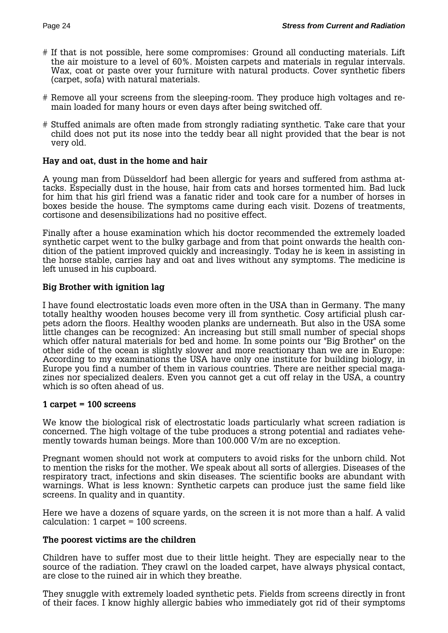- # If that is not possible, here some compromises: Ground all conducting materials. Lift the air moisture to a level of 60%. Moisten carpets and materials in regular intervals. Wax, coat or paste over your furniture with natural products. Cover synthetic fibers (carpet, sofa) with natural materials.
- # Remove all your screens from the sleeping-room. They produce high voltages and remain loaded for many hours or even days after being switched off.
- # Stuffed animals are often made from strongly radiating synthetic. Take care that your child does not put its nose into the teddy bear all night provided that the bear is not very old.

#### **Hay and oat, dust in the home and hair**

A young man from Düsseldorf had been allergic for years and suffered from asthma attacks. Especially dust in the house, hair from cats and horses tormented him. Bad luck for him that his girl friend was a fanatic rider and took care for a number of horses in boxes beside the house. The symptoms came during each visit. Dozens of treatments, cortisone and desensibilizations had no positive effect.

Finally after a house examination which his doctor recommended the extremely loaded synthetic carpet went to the bulky garbage and from that point onwards the health condition of the patient improved quickly and increasingly. Today he is keen in assisting in the horse stable, carries hay and oat and lives without any symptoms. The medicine is left unused in his cupboard.

#### **Big Brother with ignition lag**

I have found electrostatic loads even more often in the USA than in Germany. The many totally healthy wooden houses become very ill from synthetic. Cosy artificial plush carpets adorn the floors. Healthy wooden planks are underneath. But also in the USA some little changes can be recognized: An increasing but still small number of special shops which offer natural materials for bed and home. In some points our "Big Brother" on the other side of the ocean is slightly slower and more reactionary than we are in Europe: According to my examinations the USA have only one institute for building biology, in Europe you find a number of them in various countries. There are neither special magazines nor specialized dealers. Even you cannot get a cut off relay in the USA, a country which is so often ahead of us.

#### **1 carpet = 100 screens**

We know the biological risk of electrostatic loads particularly what screen radiation is concerned. The high voltage of the tube produces a strong potential and radiates vehemently towards human beings. More than 100.000 V/m are no exception.

Pregnant women should not work at computers to avoid risks for the unborn child. Not to mention the risks for the mother. We speak about all sorts of allergies. Diseases of the respiratory tract, infections and skin diseases. The scientific books are abundant with warnings. What is less known: Synthetic carpets can produce just the same field like screens. In quality and in quantity.

Here we have a dozens of square yards, on the screen it is not more than a half. A valid calculation: 1 carpet = 100 screens.

#### **The poorest victims are the children**

Children have to suffer most due to their little height. They are especially near to the source of the radiation. They crawl on the loaded carpet, have always physical contact, are close to the ruined air in which they breathe.

They snuggle with extremely loaded synthetic pets. Fields from screens directly in front of their faces. I know highly allergic babies who immediately got rid of their symptoms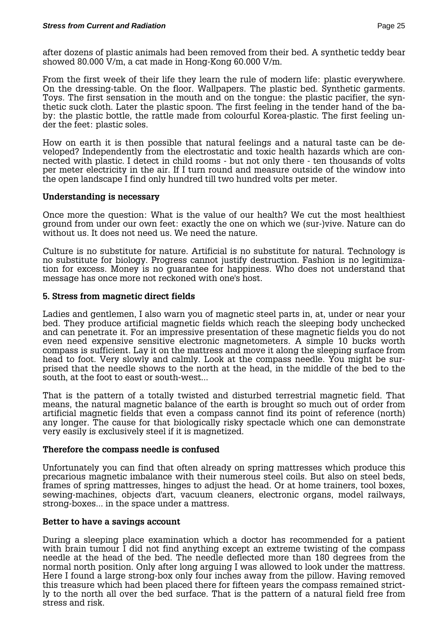after dozens of plastic animals had been removed from their bed. A synthetic teddy bear showed 80.000 V/m, a cat made in Hong-Kong 60.000 V/m.

From the first week of their life they learn the rule of modern life: plastic everywhere. On the dressing-table. On the floor. Wallpapers. The plastic bed. Synthetic garments. Toys. The first sensation in the mouth and on the tongue: the plastic pacifier, the synthetic suck cloth. Later the plastic spoon. The first feeling in the tender hand of the baby: the plastic bottle, the rattle made from colourful Korea-plastic. The first feeling under the feet: plastic soles.

How on earth it is then possible that natural feelings and a natural taste can be developed? Independently from the electrostatic and toxic health hazards which are connected with plastic. I detect in child rooms - but not only there - ten thousands of volts per meter electricity in the air. If I turn round and measure outside of the window into the open landscape I find only hundred till two hundred volts per meter.

#### **Understanding is necessary**

Once more the question: What is the value of our health? We cut the most healthiest ground from under our own feet: exactly the one on which we (sur-)vive. Nature can do without us. It does not need us. We need the nature.

Culture is no substitute for nature. Artificial is no substitute for natural. Technology is no substitute for biology. Progress cannot justify destruction. Fashion is no legitimization for excess. Money is no guarantee for happiness. Who does not understand that message has once more not reckoned with one's host.

#### **5. Stress from magnetic direct fields**

Ladies and gentlemen, I also warn you of magnetic steel parts in, at, under or near your bed. They produce artificial magnetic fields which reach the sleeping body unchecked and can penetrate it. For an impressive presentation of these magnetic fields you do not even need expensive sensitive electronic magnetometers. A simple 10 bucks worth compass is sufficient. Lay it on the mattress and move it along the sleeping surface from head to foot. Very slowly and calmly. Look at the compass needle. You might be surprised that the needle shows to the north at the head, in the middle of the bed to the south, at the foot to east or south-west...

That is the pattern of a totally twisted and disturbed terrestrial magnetic field. That means, the natural magnetic balance of the earth is brought so much out of order from artificial magnetic fields that even a compass cannot find its point of reference (north) any longer. The cause for that biologically risky spectacle which one can demonstrate very easily is exclusively steel if it is magnetized.

#### **Therefore the compass needle is confused**

Unfortunately you can find that often already on spring mattresses which produce this precarious magnetic imbalance with their numerous steel coils. But also on steel beds, frames of spring mattresses, hinges to adjust the head. Or at home trainers, tool boxes, sewing-machines, objects d'art, vacuum cleaners, electronic organs, model railways, strong-boxes... in the space under a mattress.

#### **Better to have a savings account**

During a sleeping place examination which a doctor has recommended for a patient with brain tumour I did not find anything except an extreme twisting of the compass needle at the head of the bed. The needle deflected more than 180 degrees from the normal north position. Only after long arguing I was allowed to look under the mattress. Here I found a large strong-box only four inches away from the pillow. Having removed this treasure which had been placed there for fifteen years the compass remained strictly to the north all over the bed surface. That is the pattern of a natural field free from stress and risk.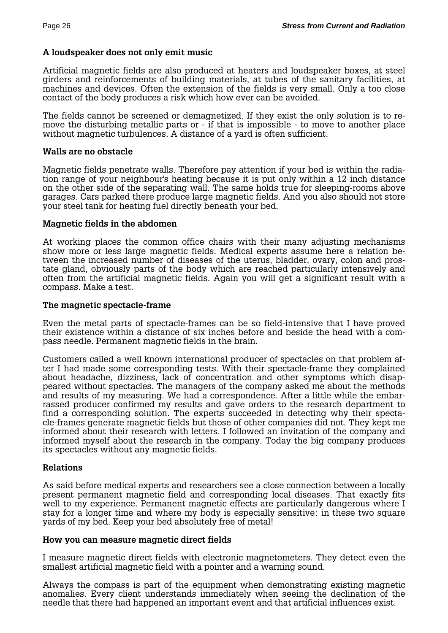# **A loudspeaker does not only emit music**

Artificial magnetic fields are also produced at heaters and loudspeaker boxes, at steel girders and reinforcements of building materials, at tubes of the sanitary facilities, at machines and devices. Often the extension of the fields is very small. Only a too close contact of the body produces a risk which how ever can be avoided.

The fields cannot be screened or demagnetized. If they exist the only solution is to remove the disturbing metallic parts or - if that is impossible - to move to another place without magnetic turbulences. A distance of a yard is often sufficient.

#### **Walls are no obstacle**

Magnetic fields penetrate walls. Therefore pay attention if your bed is within the radiation range of your neighbour's heating because it is put only within a 12 inch distance on the other side of the separating wall. The same holds true for sleeping-rooms above garages. Cars parked there produce large magnetic fields. And you also should not store your steel tank for heating fuel directly beneath your bed.

#### **Magnetic fields in the abdomen**

At working places the common office chairs with their many adjusting mechanisms show more or less large magnetic fields. Medical experts assume here a relation between the increased number of diseases of the uterus, bladder, ovary, colon and prostate gland, obviously parts of the body which are reached particularly intensively and often from the artificial magnetic fields. Again you will get a significant result with a compass. Make a test.

#### **The magnetic spectacle-frame**

Even the metal parts of spectacle-frames can be so field-intensive that I have proved their existence within a distance of six inches before and beside the head with a compass needle. Permanent magnetic fields in the brain.

Customers called a well known international producer of spectacles on that problem after I had made some corresponding tests. With their spectacle-frame they complained about headache, dizziness, lack of concentration and other symptoms which disappeared without spectacles. The managers of the company asked me about the methods and results of my measuring. We had a correspondence. After a little while the embarrassed producer confirmed my results and gave orders to the research department to find a corresponding solution. The experts succeeded in detecting why their spectacle-frames generate magnetic fields but those of other companies did not. They kept me informed about their research with letters. I followed an invitation of the company and informed myself about the research in the company. Today the big company produces its spectacles without any magnetic fields.

#### **Relations**

As said before medical experts and researchers see a close connection between a locally present permanent magnetic field and corresponding local diseases. That exactly fits well to my experience. Permanent magnetic effects are particularly dangerous where I stay for a longer time and where my body is especially sensitive: in these two square yards of my bed. Keep your bed absolutely free of metal!

#### **How you can measure magnetic direct fields**

I measure magnetic direct fields with electronic magnetometers. They detect even the smallest artificial magnetic field with a pointer and a warning sound.

Always the compass is part of the equipment when demonstrating existing magnetic anomalies. Every client understands immediately when seeing the declination of the needle that there had happened an important event and that artificial influences exist.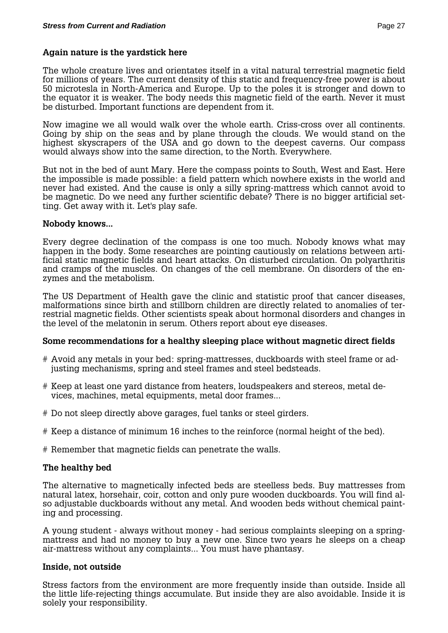#### **Again nature is the yardstick here**

The whole creature lives and orientates itself in a vital natural terrestrial magnetic field for millions of years. The current density of this static and frequency-free power is about 50 microtesla in North-America and Europe. Up to the poles it is stronger and down to the equator it is weaker. The body needs this magnetic field of the earth. Never it must be disturbed. Important functions are dependent from it.

Now imagine we all would walk over the whole earth. Criss-cross over all continents. Going by ship on the seas and by plane through the clouds. We would stand on the highest skyscrapers of the USA and go down to the deepest caverns. Our compass would always show into the same direction, to the North. Everywhere.

But not in the bed of aunt Mary. Here the compass points to South, West and East. Here the impossible is made possible: a field pattern which nowhere exists in the world and never had existed. And the cause is only a silly spring-mattress which cannot avoid to be magnetic. Do we need any further scientific debate? There is no bigger artificial setting. Get away with it. Let's play safe.

#### **Nobody knows...**

Every degree declination of the compass is one too much. Nobody knows what may happen in the body. Some researches are pointing cautiously on relations between artificial static magnetic fields and heart attacks. On disturbed circulation. On polyarthritis and cramps of the muscles. On changes of the cell membrane. On disorders of the enzymes and the metabolism.

The US Department of Health gave the clinic and statistic proof that cancer diseases, malformations since birth and stillborn children are directly related to anomalies of terrestrial magnetic fields. Other scientists speak about hormonal disorders and changes in the level of the melatonin in serum. Others report about eye diseases.

#### **Some recommendations for a healthy sleeping place without magnetic direct fields**

- # Avoid any metals in your bed: spring-mattresses, duckboards with steel frame or adjusting mechanisms, spring and steel frames and steel bedsteads.
- # Keep at least one yard distance from heaters, loudspeakers and stereos, metal devices, machines, metal equipments, metal door frames...
- # Do not sleep directly above garages, fuel tanks or steel girders.
- # Keep a distance of minimum 16 inches to the reinforce (normal height of the bed).
- # Remember that magnetic fields can penetrate the walls.

#### **The healthy bed**

The alternative to magnetically infected beds are steelless beds. Buy mattresses from natural latex, horsehair, coir, cotton and only pure wooden duckboards. You will find also adjustable duckboards without any metal. And wooden beds without chemical painting and processing.

A young student - always without money - had serious complaints sleeping on a springmattress and had no money to buy a new one. Since two years he sleeps on a cheap air-mattress without any complaints... You must have phantasy.

#### **Inside, not outside**

Stress factors from the environment are more frequently inside than outside. Inside all the little life-rejecting things accumulate. But inside they are also avoidable. Inside it is solely your responsibility.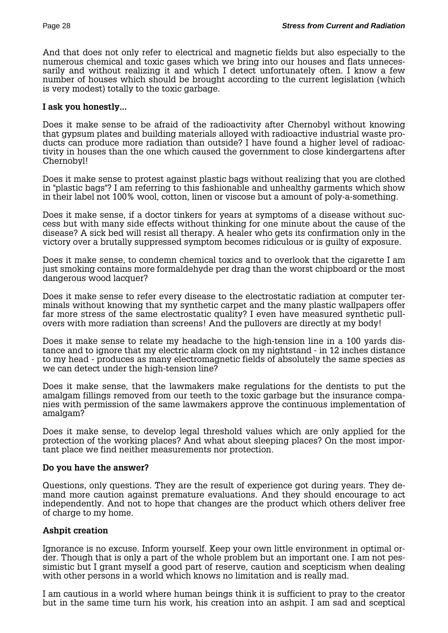And that does not only refer to electrical and magnetic fields but also especially to the numerous chemical and toxic gases which we bring into our houses and flats unnecessarily and without realizing it and which I detect unfortunately often. I know a few number of houses which should be brought according to the current legislation (which is very modest) totally to the toxic garbage.

#### **I ask you honestly...**

Does it make sense to be afraid of the radioactivity after Chernobyl without knowing that gypsum plates and building materials alloyed with radioactive industrial waste products can produce more radiation than outside? I have found a higher level of radioactivity in houses than the one which caused the government to close kindergartens after Chernobyl!

Does it make sense to protest against plastic bags without realizing that you are clothed in "plastic bags"? I am referring to this fashionable and unhealthy garments which show in their label not 100% wool, cotton, linen or viscose but a amount of poly-a-something.

Does it make sense, if a doctor tinkers for years at symptoms of a disease without success but with many side effects without thinking for one minute about the cause of the disease? A sick bed will resist all therapy. A healer who gets its confirmation only in the victory over a brutally suppressed symptom becomes ridiculous or is guilty of exposure.

Does it make sense, to condemn chemical toxics and to overlook that the cigarette I am just smoking contains more formaldehyde per drag than the worst chipboard or the most dangerous wood lacquer?

Does it make sense to refer every disease to the electrostatic radiation at computer terminals without knowing that my synthetic carpet and the many plastic wallpapers offer far more stress of the same electrostatic quality? I even have measured synthetic pullovers with more radiation than screens! And the pullovers are directly at my body!

Does it make sense to relate my headache to the high-tension line in a 100 yards distance and to ignore that my electric alarm clock on my nightstand - in 12 inches distance to my head - produces as many electromagnetic fields of absolutely the same species as we can detect under the high-tension line?

Does it make sense, that the lawmakers make regulations for the dentists to put the amalgam fillings removed from our teeth to the toxic garbage but the insurance companies with permission of the same lawmakers approve the continuous implementation of amalgam?

Does it make sense, to develop legal threshold values which are only applied for the protection of the working places? And what about sleeping places? On the most important place we find neither measurements nor protection.

#### **Do you have the answer?**

Questions, only questions. They are the result of experience got during years. They demand more caution against premature evaluations. And they should encourage to act independently. And not to hope that changes are the product which others deliver free of charge to my home.

#### **Ashpit creation**

Ignorance is no excuse. Inform yourself. Keep your own little environment in optimal order. Though that is only a part of the whole problem but an important one. I am not pessimistic but I grant myself a good part of reserve, caution and scepticism when dealing with other persons in a world which knows no limitation and is really mad.

I am cautious in a world where human beings think it is sufficient to pray to the creator but in the same time turn his work, his creation into an ashpit. I am sad and sceptical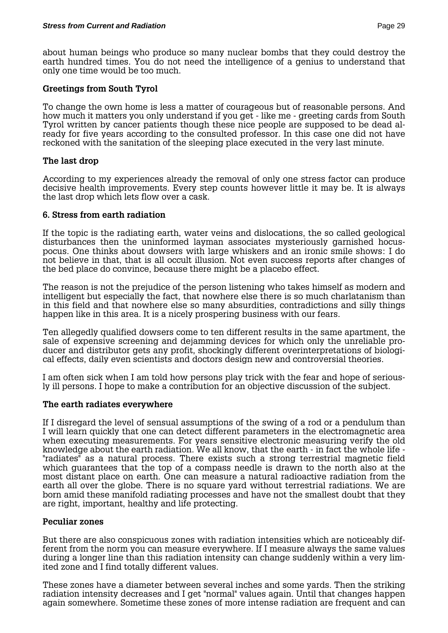about human beings who produce so many nuclear bombs that they could destroy the earth hundred times. You do not need the intelligence of a genius to understand that only one time would be too much.

### **Greetings from South Tyrol**

To change the own home is less a matter of courageous but of reasonable persons. And how much it matters you only understand if you get - like me - greeting cards from South Tyrol written by cancer patients though these nice people are supposed to be dead already for five years according to the consulted professor. In this case one did not have reckoned with the sanitation of the sleeping place executed in the very last minute.

# **The last drop**

According to my experiences already the removal of only one stress factor can produce decisive health improvements. Every step counts however little it may be. It is always the last drop which lets flow over a cask.

# **6. Stress from earth radiation**

If the topic is the radiating earth, water veins and dislocations, the so called geological disturbances then the uninformed layman associates mysteriously garnished hocuspocus. One thinks about dowsers with large whiskers and an ironic smile shows: I do not believe in that, that is all occult illusion. Not even success reports after changes of the bed place do convince, because there might be a placebo effect.

The reason is not the prejudice of the person listening who takes himself as modern and intelligent but especially the fact, that nowhere else there is so much charlatanism than in this field and that nowhere else so many absurdities, contradictions and silly things happen like in this area. It is a nicely prospering business with our fears.

Ten allegedly qualified dowsers come to ten different results in the same apartment, the sale of expensive screening and dejamming devices for which only the unreliable producer and distributor gets any profit, shockingly different overinterpretations of biological effects, daily even scientists and doctors design new and controversial theories.

I am often sick when I am told how persons play trick with the fear and hope of seriously ill persons. I hope to make a contribution for an objective discussion of the subject.

#### **The earth radiates everywhere**

If I disregard the level of sensual assumptions of the swing of a rod or a pendulum than I will learn quickly that one can detect different parameters in the electromagnetic area when executing measurements. For years sensitive electronic measuring verify the old knowledge about the earth radiation. We all know, that the earth - in fact the whole life - "radiates" as a natural process. There exists such a strong terrestrial magnetic field which guarantees that the top of a compass needle is drawn to the north also at the most distant place on earth. One can measure a natural radioactive radiation from the earth all over the globe. There is no square yard without terrestrial radiations. We are born amid these manifold radiating processes and have not the smallest doubt that they are right, important, healthy and life protecting.

# **Peculiar zones**

But there are also conspicuous zones with radiation intensities which are noticeably different from the norm you can measure everywhere. If I measure always the same values during a longer line than this radiation intensity can change suddenly within a very limited zone and I find totally different values.

These zones have a diameter between several inches and some yards. Then the striking radiation intensity decreases and I get "normal" values again. Until that changes happen again somewhere. Sometime these zones of more intense radiation are frequent and can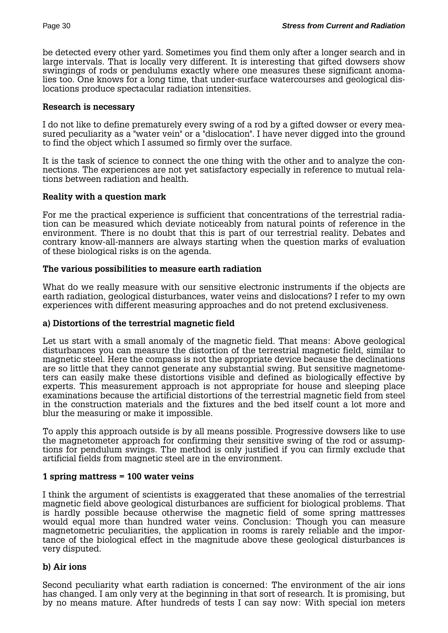be detected every other yard. Sometimes you find them only after a longer search and in large intervals. That is locally very different. It is interesting that gifted dowsers show swingings of rods or pendulums exactly where one measures these significant anomalies too. One knows for a long time, that under-surface watercourses and geological dislocations produce spectacular radiation intensities.

### **Research is necessary**

I do not like to define prematurely every swing of a rod by a gifted dowser or every measured peculiarity as a "water vein" or a "dislocation". I have never digged into the ground to find the object which I assumed so firmly over the surface.

It is the task of science to connect the one thing with the other and to analyze the connections. The experiences are not yet satisfactory especially in reference to mutual relations between radiation and health.

# **Reality with a question mark**

For me the practical experience is sufficient that concentrations of the terrestrial radiation can be measured which deviate noticeably from natural points of reference in the environment. There is no doubt that this is part of our terrestrial reality. Debates and contrary know-all-manners are always starting when the question marks of evaluation of these biological risks is on the agenda.

# **The various possibilities to measure earth radiation**

What do we really measure with our sensitive electronic instruments if the objects are earth radiation, geological disturbances, water veins and dislocations? I refer to my own experiences with different measuring approaches and do not pretend exclusiveness.

#### **a) Distortions of the terrestrial magnetic field**

Let us start with a small anomaly of the magnetic field. That means: Above geological disturbances you can measure the distortion of the terrestrial magnetic field, similar to magnetic steel. Here the compass is not the appropriate device because the declinations are so little that they cannot generate any substantial swing. But sensitive magnetometers can easily make these distortions visible and defined as biologically effective by experts. This measurement approach is not appropriate for house and sleeping place examinations because the artificial distortions of the terrestrial magnetic field from steel in the construction materials and the fixtures and the bed itself count a lot more and blur the measuring or make it impossible.

To apply this approach outside is by all means possible. Progressive dowsers like to use the magnetometer approach for confirming their sensitive swing of the rod or assumptions for pendulum swings. The method is only justified if you can firmly exclude that artificial fields from magnetic steel are in the environment.

# **1 spring mattress = 100 water veins**

I think the argument of scientists is exaggerated that these anomalies of the terrestrial magnetic field above geological disturbances are sufficient for biological problems. That is hardly possible because otherwise the magnetic field of some spring mattresses would equal more than hundred water veins. Conclusion: Though you can measure magnetometric peculiarities, the application in rooms is rarely reliable and the importance of the biological effect in the magnitude above these geological disturbances is very disputed.

# **b) Air ions**

Second peculiarity what earth radiation is concerned: The environment of the air ions has changed. I am only very at the beginning in that sort of research. It is promising, but by no means mature. After hundreds of tests I can say now: With special ion meters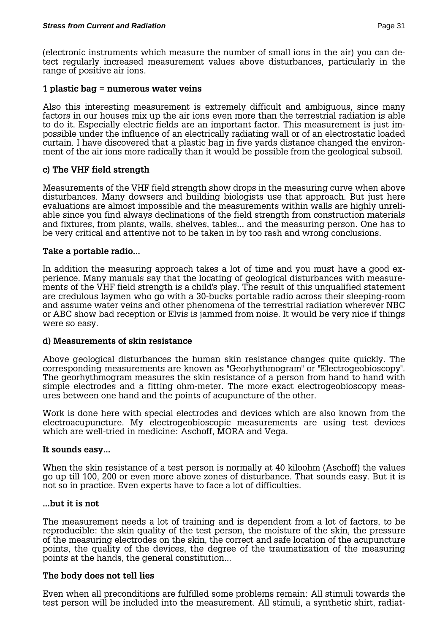(electronic instruments which measure the number of small ions in the air) you can detect regularly increased measurement values above disturbances, particularly in the range of positive air ions.

### **1 plastic bag = numerous water veins**

Also this interesting measurement is extremely difficult and ambiguous, since many factors in our houses mix up the air ions even more than the terrestrial radiation is able to do it. Especially electric fields are an important factor. This measurement is just impossible under the influence of an electrically radiating wall or of an electrostatic loaded curtain. I have discovered that a plastic bag in five yards distance changed the environment of the air ions more radically than it would be possible from the geological subsoil.

# **c) The VHF field strength**

Measurements of the VHF field strength show drops in the measuring curve when above disturbances. Many dowsers and building biologists use that approach. But just here evaluations are almost impossible and the measurements within walls are highly unreliable since you find always declinations of the field strength from construction materials and fixtures, from plants, walls, shelves, tables... and the measuring person. One has to be very critical and attentive not to be taken in by too rash and wrong conclusions.

#### **Take a portable radio...**

In addition the measuring approach takes a lot of time and you must have a good experience. Many manuals say that the locating of geological disturbances with measurements of the VHF field strength is a child's play. The result of this unqualified statement are credulous laymen who go with a 30-bucks portable radio across their sleeping-room and assume water veins and other phenomena of the terrestrial radiation wherever NBC or ABC show bad reception or Elvis is jammed from noise. It would be very nice if things were so easy.

#### **d) Measurements of skin resistance**

Above geological disturbances the human skin resistance changes quite quickly. The corresponding measurements are known as "Georhythmogram" or "Electrogeobioscopy". The georhythmogram measures the skin resistance of a person from hand to hand with simple electrodes and a fitting ohm-meter. The more exact electrogeobioscopy measures between one hand and the points of acupuncture of the other.

Work is done here with special electrodes and devices which are also known from the electroacupuncture. My electrogeobioscopic measurements are using test devices which are well-tried in medicine: Aschoff, MORA and Vega.

#### **It sounds easy...**

When the skin resistance of a test person is normally at 40 kiloohm (Aschoff) the values go up till 100, 200 or even more above zones of disturbance. That sounds easy. But it is not so in practice. Even experts have to face a lot of difficulties.

#### **...but it is not**

The measurement needs a lot of training and is dependent from a lot of factors, to be reproducible: the skin quality of the test person, the moisture of the skin, the pressure of the measuring electrodes on the skin, the correct and safe location of the acupuncture points, the quality of the devices, the degree of the traumatization of the measuring points at the hands, the general constitution...

#### **The body does not tell lies**

Even when all preconditions are fulfilled some problems remain: All stimuli towards the test person will be included into the measurement. All stimuli, a synthetic shirt, radiat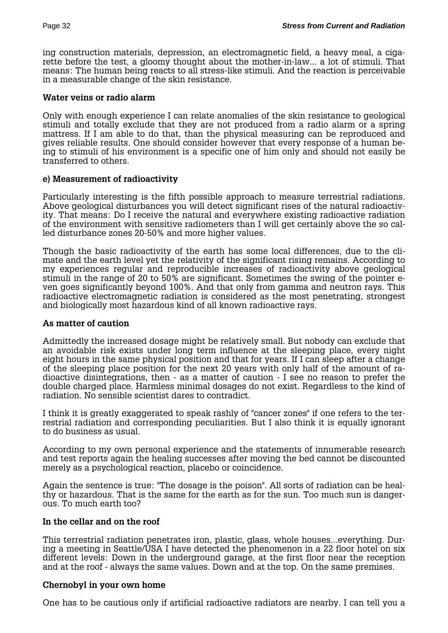ing construction materials, depression, an electromagnetic field, a heavy meal, a cigarette before the test, a gloomy thought about the mother-in-law... a lot of stimuli. That means: The human being reacts to all stress-like stimuli. And the reaction is perceivable in a measurable change of the skin resistance.

# **Water veins or radio alarm**

Only with enough experience I can relate anomalies of the skin resistance to geological stimuli and totally exclude that they are not produced from a radio alarm or a spring mattress. If I am able to do that, than the physical measuring can be reproduced and gives reliable results. One should consider however that every response of a human being to stimuli of his environment is a specific one of him only and should not easily be transferred to others.

# **e) Measurement of radioactivity**

Particularly interesting is the fifth possible approach to measure terrestrial radiations. Above geological disturbances you will detect significant rises of the natural radioactivity. That means: Do I receive the natural and everywhere existing radioactive radiation of the environment with sensitive radiometers than I will get certainly above the so called disturbance zones 20-50% and more higher values.

Though the basic radioactivity of the earth has some local differences, due to the climate and the earth level yet the relativity of the significant rising remains. According to my experiences regular and reproducible increases of radioactivity above geological stimuli in the range of 20 to 50% are significant. Sometimes the swing of the pointer even goes significantly beyond 100%. And that only from gamma and neutron rays. This radioactive electromagnetic radiation is considered as the most penetrating, strongest and biologically most hazardous kind of all known radioactive rays.

#### **As matter of caution**

Admittedly the increased dosage might be relatively small. But nobody can exclude that an avoidable risk exists under long term influence at the sleeping place, every night eight hours in the same physical position and that for years. If I can sleep after a change of the sleeping place position for the next 20 years with only half of the amount of radioactive disintegrations, then - as a matter of caution - I see no reason to prefer the double charged place. Harmless minimal dosages do not exist. Regardless to the kind of radiation. No sensible scientist dares to contradict.

I think it is greatly exaggerated to speak rashly of "cancer zones" if one refers to the terrestrial radiation and corresponding peculiarities. But I also think it is equally ignorant to do business as usual.

According to my own personal experience and the statements of innumerable research and test reports again the healing successes after moving the bed cannot be discounted merely as a psychological reaction, placebo or coincidence.

Again the sentence is true: "The dosage is the poison". All sorts of radiation can be healthy or hazardous. That is the same for the earth as for the sun. Too much sun is dangerous. To much earth too?

# **In the cellar and on the roof**

This terrestrial radiation penetrates iron, plastic, glass, whole houses...everything. During a meeting in Seattle/USA I have detected the phenomenon in a 22 floor hotel on six different levels: Down in the underground garage, at the first floor near the reception and at the roof - always the same values. Down and at the top. On the same premises.

#### **Chernobyl in your own home**

One has to be cautious only if artificial radioactive radiators are nearby. I can tell you a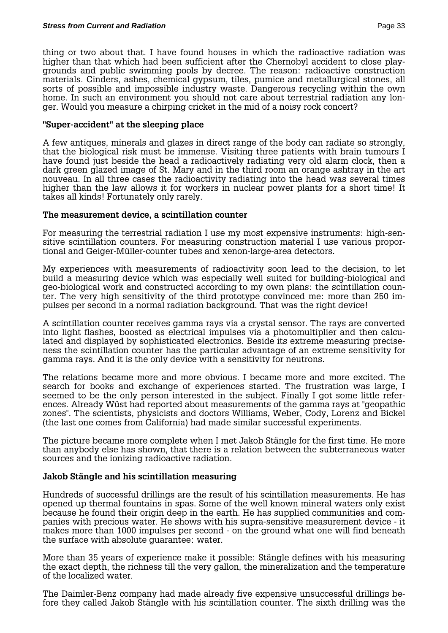thing or two about that. I have found houses in which the radioactive radiation was higher than that which had been sufficient after the Chernobyl accident to close playgrounds and public swimming pools by decree. The reason: radioactive construction materials. Cinders, ashes, chemical gypsum, tiles, pumice and metallurgical stones, all sorts of possible and impossible industry waste. Dangerous recycling within the own home. In such an environment you should not care about terrestrial radiation any longer. Would you measure a chirping cricket in the mid of a noisy rock concert?

#### **"Super-accident" at the sleeping place**

A few antiques, minerals and glazes in direct range of the body can radiate so strongly, that the biological risk must be immense. Visiting three patients with brain tumours I have found just beside the head a radioactively radiating very old alarm clock, then a dark green glazed image of St. Mary and in the third room an orange ashtray in the art nouveau. In all three cases the radioactivity radiating into the head was several times higher than the law allows it for workers in nuclear power plants for a short time! It takes all kinds! Fortunately only rarely.

#### **The measurement device, a scintillation counter**

For measuring the terrestrial radiation I use my most expensive instruments: high-sensitive scintillation counters. For measuring construction material I use various proportional and Geiger-Müller-counter tubes and xenon-large-area detectors.

My experiences with measurements of radioactivity soon lead to the decision, to let build a measuring device which was especially well suited for building-biological and geo-biological work and constructed according to my own plans: the scintillation counter. The very high sensitivity of the third prototype convinced me: more than 250 impulses per second in a normal radiation background. That was the right device!

A scintillation counter receives gamma rays via a crystal sensor. The rays are converted into light flashes, boosted as electrical impulses via a photomultiplier and then calculated and displayed by sophisticated electronics. Beside its extreme measuring preciseness the scintillation counter has the particular advantage of an extreme sensitivity for gamma rays. And it is the only device with a sensitivity for neutrons.

The relations became more and more obvious. I became more and more excited. The search for books and exchange of experiences started. The frustration was large, I seemed to be the only person interested in the subject. Finally I got some little references. Already Wüst had reported about measurements of the gamma rays at "geopathic zones". The scientists, physicists and doctors Williams, Weber, Cody, Lorenz and Bickel (the last one comes from California) had made similar successful experiments.

The picture became more complete when I met Jakob Stängle for the first time. He more than anybody else has shown, that there is a relation between the subterraneous water sources and the ionizing radioactive radiation.

#### **Jakob Stängle and his scintillation measuring**

Hundreds of successful drillings are the result of his scintillation measurements. He has opened up thermal fountains in spas. Some of the well known mineral waters only exist because he found their origin deep in the earth. He has supplied communities and companies with precious water. He shows with his supra-sensitive measurement device - it makes more than 1000 impulses per second - on the ground what one will find beneath the surface with absolute guarantee: water.

More than 35 years of experience make it possible: Stängle defines with his measuring the exact depth, the richness till the very gallon, the mineralization and the temperature of the localized water.

The Daimler-Benz company had made already five expensive unsuccessful drillings before they called Jakob Stängle with his scintillation counter. The sixth drilling was the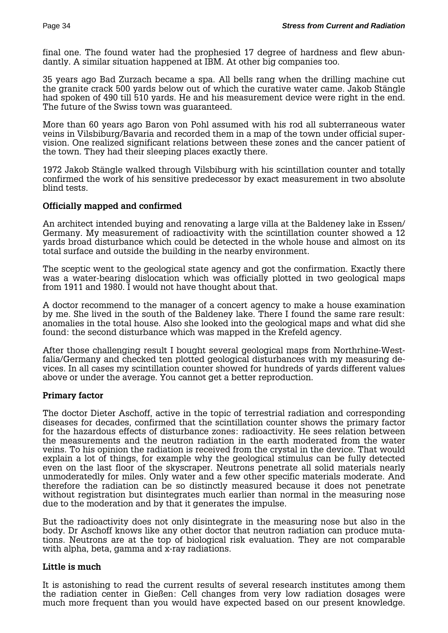final one. The found water had the prophesied 17 degree of hardness and flew abundantly. A similar situation happened at IBM. At other big companies too.

35 years ago Bad Zurzach became a spa. All bells rang when the drilling machine cut the granite crack 500 yards below out of which the curative water came. Jakob Stängle had spoken of 490 till 510 yards. He and his measurement device were right in the end. The future of the Swiss town was guaranteed.

More than 60 years ago Baron von Pohl assumed with his rod all subterraneous water veins in Vilsbiburg/Bavaria and recorded them in a map of the town under official supervision. One realized significant relations between these zones and the cancer patient of the town. They had their sleeping places exactly there.

1972 Jakob Stängle walked through Vilsbiburg with his scintillation counter and totally confirmed the work of his sensitive predecessor by exact measurement in two absolute blind tests.

# **Officially mapped and confirmed**

An architect intended buying and renovating a large villa at the Baldeney lake in Essen/ Germany. My measurement of radioactivity with the scintillation counter showed a 12 yards broad disturbance which could be detected in the whole house and almost on its total surface and outside the building in the nearby environment.

The sceptic went to the geological state agency and got the confirmation. Exactly there was a water-bearing dislocation which was officially plotted in two geological maps from 1911 and 1980. I would not have thought about that.

A doctor recommend to the manager of a concert agency to make a house examination by me. She lived in the south of the Baldeney lake. There I found the same rare result: anomalies in the total house. Also she looked into the geological maps and what did she found: the second disturbance which was mapped in the Krefeld agency.

After those challenging result I bought several geological maps from Northrhine-Westfalia/Germany and checked ten plotted geological disturbances with my measuring devices. In all cases my scintillation counter showed for hundreds of yards different values above or under the average. You cannot get a better reproduction.

#### **Primary factor**

The doctor Dieter Aschoff, active in the topic of terrestrial radiation and corresponding diseases for decades, confirmed that the scintillation counter shows the primary factor for the hazardous effects of disturbance zones: radioactivity. He sees relation between the measurements and the neutron radiation in the earth moderated from the water veins. To his opinion the radiation is received from the crystal in the device. That would explain a lot of things, for example why the geological stimulus can be fully detected even on the last floor of the skyscraper. Neutrons penetrate all solid materials nearly unmoderatedly for miles. Only water and a few other specific materials moderate. And therefore the radiation can be so distinctly measured because it does not penetrate without registration but disintegrates much earlier than normal in the measuring nose due to the moderation and by that it generates the impulse.

But the radioactivity does not only disintegrate in the measuring nose but also in the body. Dr Aschoff knows like any other doctor that neutron radiation can produce mutations. Neutrons are at the top of biological risk evaluation. They are not comparable with alpha, beta, gamma and x-ray radiations.

#### **Little is much**

It is astonishing to read the current results of several research institutes among them the radiation center in Gießen: Cell changes from very low radiation dosages were much more frequent than you would have expected based on our present knowledge.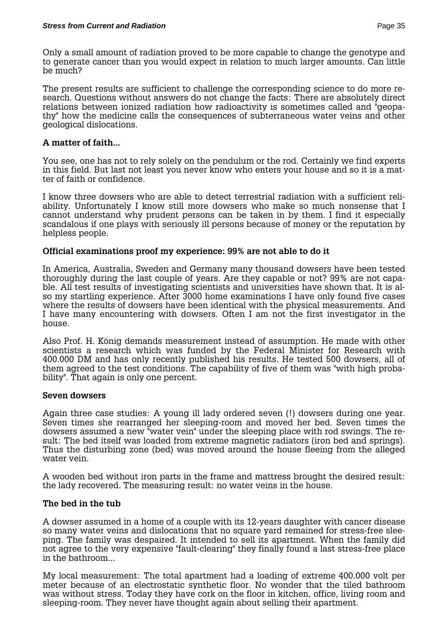Only a small amount of radiation proved to be more capable to change the genotype and to generate cancer than you would expect in relation to much larger amounts. Can little be much?

The present results are sufficient to challenge the corresponding science to do more research. Questions without answers do not change the facts: There are absolutely direct relations between ionized radiation how radioactivity is sometimes called and "geopathy" how the medicine calls the consequences of subterraneous water veins and other geological dislocations.

# **A matter of faith...**

You see, one has not to rely solely on the pendulum or the rod. Certainly we find experts in this field. But last not least you never know who enters your house and so it is a matter of faith or confidence.

I know three dowsers who are able to detect terrestrial radiation with a sufficient reliability. Unfortunately I know still more dowsers who make so much nonsense that I cannot understand why prudent persons can be taken in by them. I find it especially scandalous if one plays with seriously ill persons because of money or the reputation by helpless people.

# **Official examinations proof my experience: 99% are not able to do it**

In America, Australia, Sweden and Germany many thousand dowsers have been tested thoroughly during the last couple of years. Are they capable or not? 99% are not capable. All test results of investigating scientists and universities have shown that. It is also my startling experience. After 3000 home examinations I have only found five cases where the results of dowsers have been identical with the physical measurements. And I have many encountering with dowsers. Often I am not the first investigator in the house.

Also Prof. H. König demands measurement instead of assumption. He made with other scientists a research which was funded by the Federal Minister for Research with 400.000 DM and has only recently published his results. He tested 500 dowsers, all of them agreed to the test conditions. The capability of five of them was "with high probability". That again is only one percent.

#### **Seven dowsers**

Again three case studies: A young ill lady ordered seven (!) dowsers during one year. Seven times she rearranged her sleeping-room and moved her bed. Seven times the dowsers assumed a new "water vein" under the sleeping place with rod swings. The result: The bed itself was loaded from extreme magnetic radiators (iron bed and springs). Thus the disturbing zone (bed) was moved around the house fleeing from the alleged water vein.

A wooden bed without iron parts in the frame and mattress brought the desired result: the lady recovered. The measuring result: no water veins in the house.

#### **The bed in the tub**

A dowser assumed in a home of a couple with its 12-years daughter with cancer disease so many water veins and dislocations that no square yard remained for stress-free sleeping. The family was despaired. It intended to sell its apartment. When the family did not agree to the very expensive "fault-clearing" they finally found a last stress-free place in the bathroom...

My local measurement: The total apartment had a loading of extreme 400.000 volt per meter because of an electrostatic synthetic floor. No wonder that the tiled bathroom was without stress. Today they have cork on the floor in kitchen, office, living room and sleeping-room. They never have thought again about selling their apartment.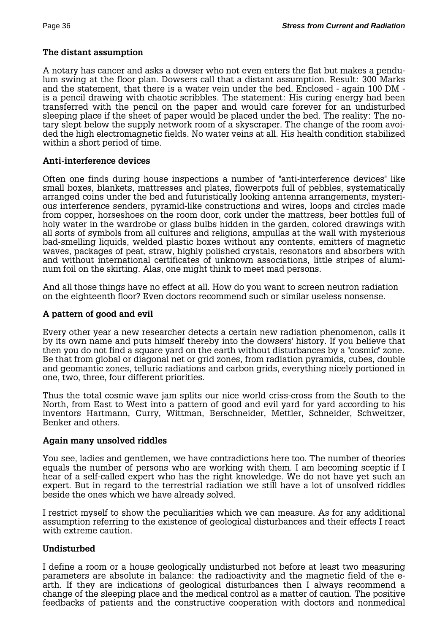### **The distant assumption**

A notary has cancer and asks a dowser who not even enters the flat but makes a pendulum swing at the floor plan. Dowsers call that a distant assumption. Result: 300 Marks and the statement, that there is a water vein under the bed. Enclosed - again 100 DM is a pencil drawing with chaotic scribbles. The statement: His curing energy had been transferred with the pencil on the paper and would care forever for an undisturbed sleeping place if the sheet of paper would be placed under the bed. The reality: The notary slept below the supply network room of a skyscraper. The change of the room avoided the high electromagnetic fields. No water veins at all. His health condition stabilized within a short period of time.

#### **Anti-interference devices**

Often one finds during house inspections a number of "anti-interference devices" like small boxes, blankets, mattresses and plates, flowerpots full of pebbles, systematically arranged coins under the bed and futuristically looking antenna arrangements, mysterious interference senders, pyramid-like constructions and wires, loops and circles made from copper, horseshoes on the room door, cork under the mattress, beer bottles full of holy water in the wardrobe or glass bulbs hidden in the garden, colored drawings with all sorts of symbols from all cultures and religions, ampullas at the wall with mysterious bad-smelling liquids, welded plastic boxes without any contents, emitters of magnetic waves, packages of peat, straw, highly polished crystals, resonators and absorbers with and without international certificates of unknown associations, little stripes of aluminum foil on the skirting. Alas, one might think to meet mad persons.

And all those things have no effect at all. How do you want to screen neutron radiation on the eighteenth floor? Even doctors recommend such or similar useless nonsense.

### **A pattern of good and evil**

Every other year a new researcher detects a certain new radiation phenomenon, calls it by its own name and puts himself thereby into the dowsers' history. If you believe that then you do not find a square yard on the earth without disturbances by a "cosmic" zone. Be that from global or diagonal net or grid zones, from radiation pyramids, cubes, double and geomantic zones, telluric radiations and carbon grids, everything nicely portioned in one, two, three, four different priorities.

Thus the total cosmic wave jam splits our nice world criss-cross from the South to the North, from East to West into a pattern of good and evil yard for yard according to his inventors Hartmann, Curry, Wittman, Berschneider, Mettler, Schneider, Schweitzer, Benker and others.

#### **Again many unsolved riddles**

You see, ladies and gentlemen, we have contradictions here too. The number of theories equals the number of persons who are working with them. I am becoming sceptic if I hear of a self-called expert who has the right knowledge. We do not have yet such an expert. But in regard to the terrestrial radiation we still have a lot of unsolved riddles beside the ones which we have already solved.

I restrict myself to show the peculiarities which we can measure. As for any additional assumption referring to the existence of geological disturbances and their effects I react with extreme caution.

# **Undisturbed**

I define a room or a house geologically undisturbed not before at least two measuring parameters are absolute in balance: the radioactivity and the magnetic field of the earth. If they are indications of geological disturbances then I always recommend a change of the sleeping place and the medical control as a matter of caution. The positive feedbacks of patients and the constructive cooperation with doctors and nonmedical